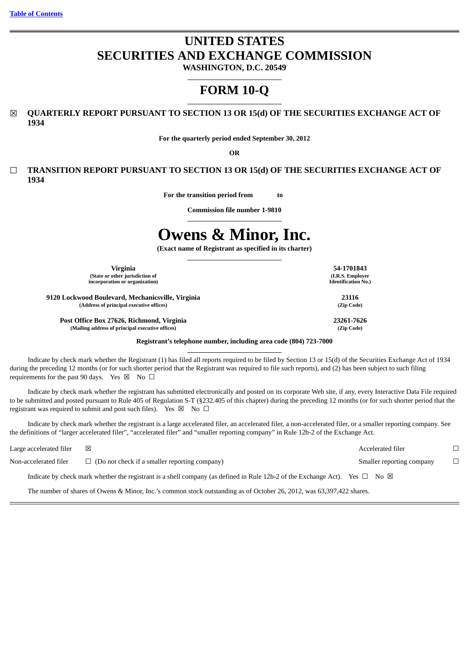# **UNITED STATES SECURITIES AND EXCHANGE COMMISSION**

**WASHINGTON, D.C. 20549**

## **FORM 10-Q**

☒ **QUARTERLY REPORT PURSUANT TO SECTION 13 OR 15(d) OF THE SECURITIES EXCHANGE ACT OF 1934**

**For the quarterly period ended September 30, 2012**

**OR**

☐ **TRANSITION REPORT PURSUANT TO SECTION 13 OR 15(d) OF THE SECURITIES EXCHANGE ACT OF 1934**

**For the transition period from to** 

**Commission file number 1-9810**

# **Owens & Minor, Inc.**

**(Exact name of Registrant as specified in its charter)**

**Virginia 54-1701843 (State or other jurisdiction of incorporation or organization)**

**9120 Lockwood Boulevard, Mechanicsville, Virginia 23116 (Address of principal executive offices) (Zip Code)**

**Post Office Box 27626, Richmond, Virginia 23261-7626 (Mailing address of principal executive offices) (Zip Code)**

**(I.R.S. Employer Identification No.)**

**Registrant's telephone number, including area code (804) 723-7000**

Indicate by check mark whether the Registrant (1) has filed all reports required to be filed by Section 13 or 15(d) of the Securities Exchange Act of 1934 during the preceding 12 months (or for such shorter period that the Registrant was required to file such reports), and (2) has been subject to such filing requirements for the past 90 days. Yes  $\boxtimes$  No  $\Box$ 

Indicate by check mark whether the registrant has submitted electronically and posted on its corporate Web site, if any, every Interactive Data File required to be submitted and posted pursuant to Rule 405 of Regulation S-T (§232.405 of this chapter) during the preceding 12 months (or for such shorter period that the registrant was required to submit and post such files). Yes  $\boxtimes$  No  $\Box$ 

Indicate by check mark whether the registrant is a large accelerated filer, an accelerated filer, a non-accelerated filer, or a smaller reporting company. See the definitions of "larger accelerated filer", "accelerated filer" and "smaller reporting company" in Rule 12b-2 of the Exchange Act.

Large accelerated filer  $□$   $□$ Non-accelerated filer □ (Do not check if a smaller reporting company) Smaller reporting company □ Indicate by check mark whether the registrant is a shell company (as defined in Rule 12b-2 of the Exchange Act). Yes  $\Box$  No  $\boxtimes$ 

The number of shares of Owens & Minor, Inc.'s common stock outstanding as of October 26, 2012, was 63,397,422 shares.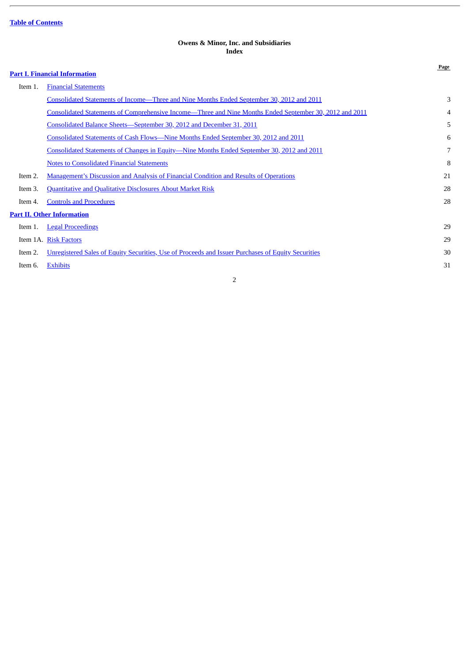### **Owens & Minor, Inc. and Subsidiaries Index**

**Page**

### <span id="page-1-0"></span>**[Part I. Financial Information](#page-2-0)**

| Item 1. | <b>Financial Statements</b>                                                                               |    |
|---------|-----------------------------------------------------------------------------------------------------------|----|
|         | Consolidated Statements of Income—Three and Nine Months Ended September 30, 2012 and 2011                 | 3  |
|         | Consolidated Statements of Comprehensive Income—Three and Nine Months Ended September 30, 2012 and 2011   | 4  |
|         | Consolidated Balance Sheets-September 30, 2012 and December 31, 2011                                      | 5  |
|         | Consolidated Statements of Cash Flows—Nine Months Ended September 30, 2012 and 2011                       | 6  |
|         | <u>Consolidated Statements of Changes in Equity—Nine Months Ended September 30, 2012 and 2011</u>         | 7  |
|         | <b>Notes to Consolidated Financial Statements</b>                                                         | 8  |
| Item 2. | Management's Discussion and Analysis of Financial Condition and Results of Operations                     | 21 |
| Item 3. | <b>Quantitative and Qualitative Disclosures About Market Risk</b>                                         | 28 |
| Item 4. | <b>Controls and Procedures</b>                                                                            | 28 |
|         | <b>Part II. Other Information</b>                                                                         |    |
| Item 1. | <b>Legal Proceedings</b>                                                                                  | 29 |
|         | Item 1A. Risk Factors                                                                                     | 29 |
| Item 2. | <u>Unregistered Sales of Equity Securities, Use of Proceeds and Issuer Purchases of Equity Securities</u> | 30 |
| Item 6. | <b>Exhibits</b>                                                                                           | 31 |
|         |                                                                                                           |    |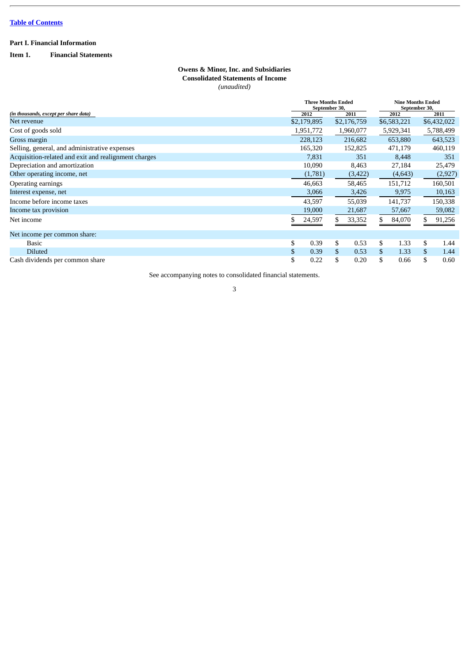### <span id="page-2-0"></span>**Part I. Financial Information**

<span id="page-2-2"></span><span id="page-2-1"></span>**Item 1. Financial Statements**

### **Owens & Minor, Inc. and Subsidiaries Consolidated Statements of Income** *(unaudited)*

|                                                      | <b>Three Months Ended</b><br>September 30, |              |             | <b>Nine Months Ended</b><br>September 30, |             |    |             |
|------------------------------------------------------|--------------------------------------------|--------------|-------------|-------------------------------------------|-------------|----|-------------|
| (in thousands, except per share data)                | 2012                                       |              | 2011        |                                           | 2012        |    | 2011        |
| Net revenue                                          | \$2,179,895                                |              | \$2,176,759 |                                           | \$6,583,221 |    | \$6,432,022 |
| Cost of goods sold                                   | 1,951,772                                  |              | 1,960,077   |                                           | 5,929,341   |    | 5,788,499   |
| Gross margin                                         | 228,123                                    |              | 216,682     |                                           | 653,880     |    | 643,523     |
| Selling, general, and administrative expenses        | 165,320                                    |              | 152,825     |                                           | 471,179     |    | 460,119     |
| Acquisition-related and exit and realignment charges | 7,831                                      |              | 351         |                                           | 8,448       |    | 351         |
| Depreciation and amortization                        | 10,090                                     |              | 8,463       |                                           | 27,184      |    | 25,479      |
| Other operating income, net                          | (1,781)                                    |              | (3,422)     |                                           | (4,643)     |    | (2,927)     |
| Operating earnings                                   | 46,663                                     |              | 58,465      |                                           | 151,712     |    | 160,501     |
| Interest expense, net                                | 3,066                                      |              | 3,426       |                                           | 9,975       |    | 10,163      |
| Income before income taxes                           | 43,597                                     |              | 55,039      |                                           | 141,737     |    | 150,338     |
| Income tax provision                                 | 19,000                                     |              | 21,687      |                                           | 57,667      |    | 59,082      |
| Net income                                           | 24,597                                     | \$           | 33,352      | \$.                                       | 84,070      |    | 91,256      |
| Net income per common share:                         |                                            |              |             |                                           |             |    |             |
| Basic                                                | \$<br>0.39                                 | \$           | 0.53        | \$                                        | 1.33        | \$ | 1.44        |
| <b>Diluted</b>                                       | 0.39                                       | $\mathbf{s}$ | 0.53        | \$                                        | 1.33        | S. | 1.44        |
| Cash dividends per common share                      | 0.22                                       | \$           | 0.20        | \$                                        | 0.66        | \$ | 0.60        |

See accompanying notes to consolidated financial statements.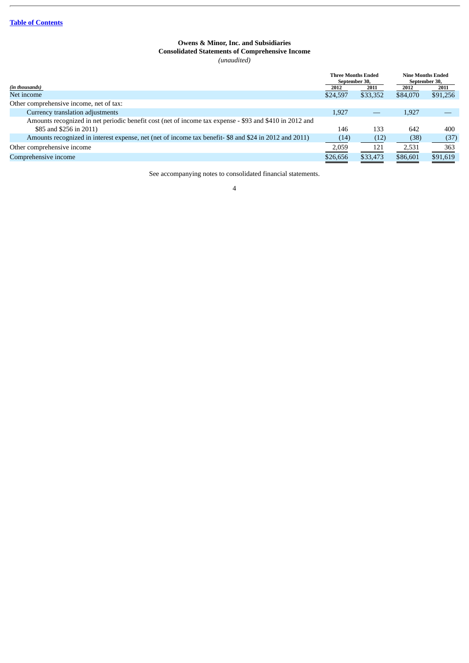### **Owens & Minor, Inc. and Subsidiaries Consolidated Statements of Comprehensive Income**

*(unaudited)*

<span id="page-3-0"></span>

| 2011     |
|----------|
| \$91,256 |
|          |
|          |
|          |
| 400      |
| (37)     |
| 363      |
| \$91,619 |
|          |

See accompanying notes to consolidated financial statements.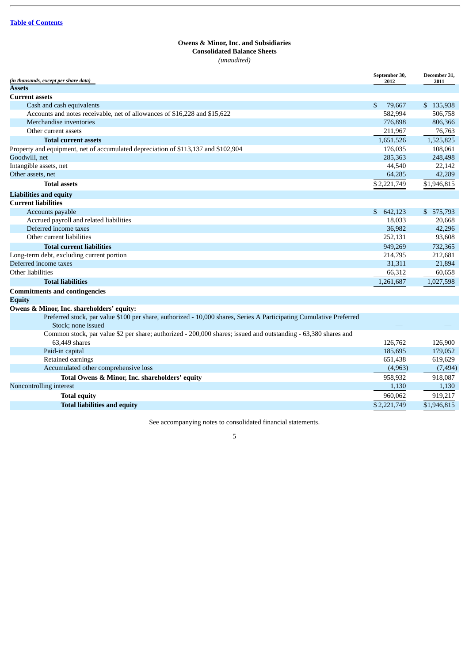### **Owens & Minor, Inc. and Subsidiaries Consolidated Balance Sheets**

*(unaudited)*

<span id="page-4-0"></span>

| (in thousands, except per share data)                                                                                                     | September 30,<br>2012 | December 31,<br>2011 |
|-------------------------------------------------------------------------------------------------------------------------------------------|-----------------------|----------------------|
| Assets                                                                                                                                    |                       |                      |
| <b>Current assets</b>                                                                                                                     |                       |                      |
| Cash and cash equivalents                                                                                                                 | \$<br>79,667          | \$135,938            |
| Accounts and notes receivable, net of allowances of \$16,228 and \$15,622                                                                 | 582,994               | 506,758              |
| Merchandise inventories                                                                                                                   | 776,898               | 806,366              |
| Other current assets                                                                                                                      | 211,967               | 76,763               |
| <b>Total current assets</b>                                                                                                               | 1,651,526             | 1,525,825            |
| Property and equipment, net of accumulated depreciation of \$113,137 and \$102,904                                                        | 176,035               | 108,061              |
| Goodwill, net                                                                                                                             | 285,363               | 248,498              |
| Intangible assets, net                                                                                                                    | 44,540                | 22,142               |
| Other assets, net                                                                                                                         | 64,285                | 42,289               |
| <b>Total assets</b>                                                                                                                       | \$2,221,749           | \$1,946,815          |
| <b>Liabilities and equity</b>                                                                                                             |                       |                      |
| <b>Current liabilities</b>                                                                                                                |                       |                      |
| Accounts payable                                                                                                                          | \$642,123             | \$575,793            |
| Accrued payroll and related liabilities                                                                                                   | 18,033                | 20,668               |
| Deferred income taxes                                                                                                                     | 36,982                | 42,296               |
| Other current liabilities                                                                                                                 | 252,131               | 93,608               |
| <b>Total current liabilities</b>                                                                                                          | 949.269               | 732,365              |
| Long-term debt, excluding current portion                                                                                                 | 214,795               | 212,681              |
| Deferred income taxes                                                                                                                     | 31,311                | 21,894               |
| Other liabilities                                                                                                                         | 66,312                | 60,658               |
| <b>Total liabilities</b>                                                                                                                  | 1,261,687             | 1,027,598            |
| <b>Commitments and contingencies</b>                                                                                                      |                       |                      |
| <b>Equity</b>                                                                                                                             |                       |                      |
| Owens & Minor, Inc. shareholders' equity:                                                                                                 |                       |                      |
| Preferred stock, par value \$100 per share, authorized - 10,000 shares, Series A Participating Cumulative Preferred<br>Stock; none issued |                       |                      |
| Common stock, par value \$2 per share; authorized - 200,000 shares; issued and outstanding - 63,380 shares and                            |                       |                      |
| 63,449 shares                                                                                                                             | 126,762               | 126,900              |
| Paid-in capital                                                                                                                           | 185,695               | 179,052              |
| Retained earnings                                                                                                                         | 651,438               | 619,629              |
| Accumulated other comprehensive loss                                                                                                      | (4,963)               | (7, 494)             |
| Total Owens & Minor, Inc. shareholders' equity                                                                                            | 958,932               | 918,087              |
| Noncontrolling interest                                                                                                                   | 1,130                 | 1,130                |
| <b>Total equity</b>                                                                                                                       | 960,062               | 919,217              |
| <b>Total liabilities and equity</b>                                                                                                       | \$2,221,749           | \$1,946,815          |

See accompanying notes to consolidated financial statements.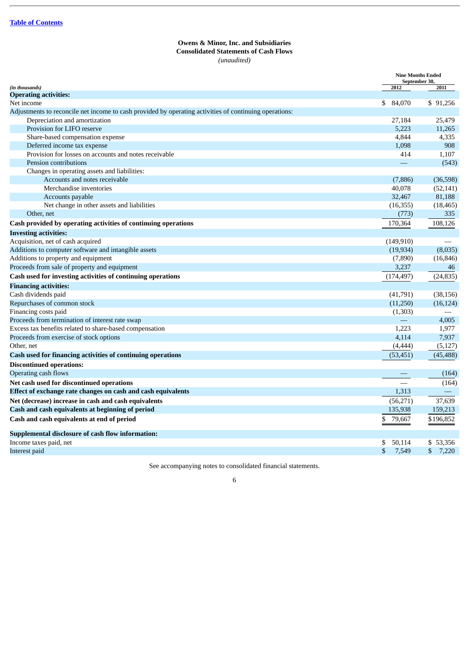### **Owens & Minor, Inc. and Subsidiaries Consolidated Statements of Cash Flows**

*(unaudited)*

<span id="page-5-0"></span>

|                                                                                                        | <b>Nine Months Ended</b><br>September 30, |             |
|--------------------------------------------------------------------------------------------------------|-------------------------------------------|-------------|
| (in thousands)                                                                                         | 2012                                      | 2011        |
| <b>Operating activities:</b>                                                                           |                                           |             |
| Net income                                                                                             | \$<br>84,070                              | \$91,256    |
| Adjustments to reconcile net income to cash provided by operating activities of continuing operations: |                                           |             |
| Depreciation and amortization                                                                          | 27,184                                    | 25,479      |
| Provision for LIFO reserve                                                                             | 5,223                                     | 11,265      |
| Share-based compensation expense                                                                       | 4,844                                     | 4,335       |
| Deferred income tax expense                                                                            | 1,098                                     | 908         |
| Provision for losses on accounts and notes receivable                                                  | 414                                       | 1,107       |
| <b>Pension contributions</b>                                                                           |                                           | (543)       |
| Changes in operating assets and liabilities:                                                           |                                           |             |
| Accounts and notes receivable                                                                          | (7,886)                                   | (36,598)    |
| Merchandise inventories                                                                                | 40,078                                    | (52, 141)   |
| Accounts payable                                                                                       | 32,467                                    | 81,188      |
| Net change in other assets and liabilities                                                             | (16, 355)                                 | (18, 465)   |
| Other, net                                                                                             | (773)                                     | 335         |
| Cash provided by operating activities of continuing operations                                         | 170,364                                   | 108,126     |
| <b>Investing activities:</b>                                                                           |                                           |             |
| Acquisition, net of cash acquired                                                                      | (149, 910)                                |             |
| Additions to computer software and intangible assets                                                   | (19, 934)                                 | (8,035)     |
| Additions to property and equipment                                                                    | (7,890)                                   | (16, 846)   |
| Proceeds from sale of property and equipment                                                           | 3,237                                     | 46          |
| Cash used for investing activities of continuing operations                                            | (174, 497)                                | (24, 835)   |
| <b>Financing activities:</b>                                                                           |                                           |             |
| Cash dividends paid                                                                                    | (41,791)                                  | (38, 156)   |
| Repurchases of common stock                                                                            | (11,250)                                  | (16, 124)   |
| Financing costs paid                                                                                   | (1, 303)                                  |             |
| Proceeds from termination of interest rate swap                                                        | $\frac{1}{2}$                             | 4,005       |
| Excess tax benefits related to share-based compensation                                                | 1,223                                     | 1,977       |
| Proceeds from exercise of stock options                                                                | 4,114                                     | 7,937       |
| Other, net                                                                                             | (4, 444)                                  | (5, 127)    |
| Cash used for financing activities of continuing operations                                            | (53, 451)                                 | (45, 488)   |
| <b>Discontinued operations:</b>                                                                        |                                           |             |
| Operating cash flows                                                                                   |                                           | (164)       |
| Net cash used for discontinued operations                                                              |                                           | (164)       |
| Effect of exchange rate changes on cash and cash equivalents                                           | 1,313                                     |             |
| Net (decrease) increase in cash and cash equivalents                                                   | (56, 271)                                 | 37,639      |
| Cash and cash equivalents at beginning of period                                                       | 135,938                                   | 159,213     |
| Cash and cash equivalents at end of period                                                             | \$<br>79,667                              | \$196,852   |
| Supplemental disclosure of cash flow information:                                                      |                                           |             |
| Income taxes paid, net                                                                                 | 50,114<br>\$                              | \$53,356    |
| Interest paid                                                                                          | \$<br>7,549                               | \$<br>7,220 |
|                                                                                                        |                                           |             |

See accompanying notes to consolidated financial statements.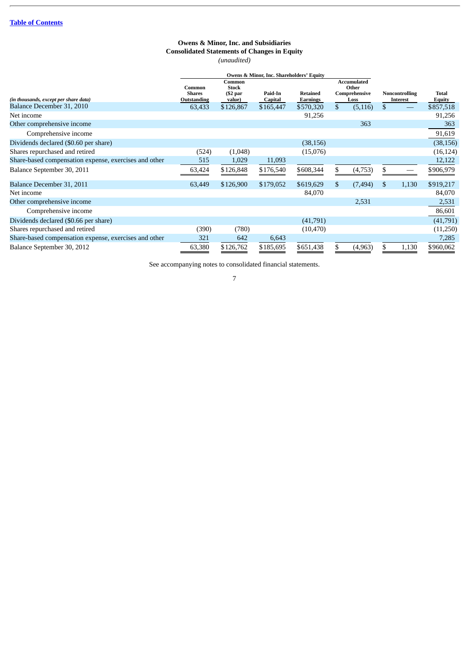### **Owens & Minor, Inc. and Subsidiaries Consolidated Statements of Changes in Equity**

*(unaudited)*

<span id="page-6-0"></span>

|                                                       | Owens & Minor, Inc. Shareholders' Equity |                                            |           |                 |    |                                              |               |                 |              |
|-------------------------------------------------------|------------------------------------------|--------------------------------------------|-----------|-----------------|----|----------------------------------------------|---------------|-----------------|--------------|
|                                                       | Common<br><b>Shares</b>                  | Common<br><b>Stock</b><br>$$2\,\text{par}$ | Paid-In   | <b>Retained</b> |    | <b>Accumulated</b><br>Other<br>Comprehensive |               | Noncontrolling  | <b>Total</b> |
| (in thousands, except per share data)                 | Outstanding                              | value)                                     | Capital   | <b>Earnings</b> |    | Loss                                         |               | <b>Interest</b> | Equity       |
| Balance December 31, 2010                             | 63,433                                   | \$126,867                                  | \$165,447 | \$570,320       | \$ | (5, 116)                                     | \$            |                 | \$857,518    |
| Net income                                            |                                          |                                            |           | 91,256          |    |                                              |               |                 | 91,256       |
| Other comprehensive income                            |                                          |                                            |           |                 |    | 363                                          |               |                 | 363          |
| Comprehensive income                                  |                                          |                                            |           |                 |    |                                              |               |                 | 91,619       |
| Dividends declared (\$0.60 per share)                 |                                          |                                            |           | (38, 156)       |    |                                              |               |                 | (38, 156)    |
| Shares repurchased and retired                        | (524)                                    | (1,048)                                    |           | (15,076)        |    |                                              |               |                 | (16, 124)    |
| Share-based compensation expense, exercises and other | 515                                      | 1,029                                      | 11,093    |                 |    |                                              |               |                 | 12,122       |
| Balance September 30, 2011                            | 63,424                                   | \$126,848                                  | \$176,540 | \$608,344       | \$ | (4,753)                                      | S             |                 | \$906,979    |
| Balance December 31, 2011                             | 63,449                                   | \$126,900                                  | \$179,052 | \$619,629       | \$ | (7, 494)                                     | <sup>\$</sup> | 1,130           | \$919,217    |
| Net income                                            |                                          |                                            |           | 84,070          |    |                                              |               |                 | 84,070       |
| Other comprehensive income                            |                                          |                                            |           |                 |    | 2,531                                        |               |                 | 2,531        |
| Comprehensive income                                  |                                          |                                            |           |                 |    |                                              |               |                 | 86,601       |
| Dividends declared (\$0.66 per share)                 |                                          |                                            |           | (41,791)        |    |                                              |               |                 | (41,791)     |
| Shares repurchased and retired                        | (390)                                    | (780)                                      |           | (10, 470)       |    |                                              |               |                 | (11,250)     |
| Share-based compensation expense, exercises and other | 321                                      | 642                                        | 6,643     |                 |    |                                              |               |                 | 7,285        |
| Balance September 30, 2012                            | 63,380                                   | \$126,762                                  | \$185,695 | \$651,438       | \$ | (4,963)                                      | S             | 1,130           | \$960,062    |

See accompanying notes to consolidated financial statements.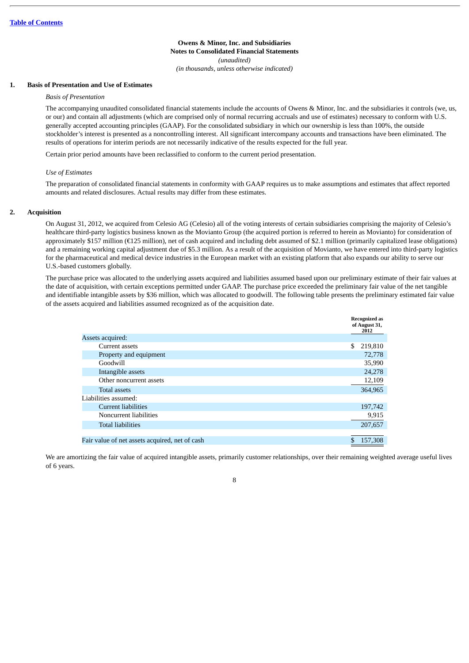**Owens & Minor, Inc. and Subsidiaries Notes to Consolidated Financial Statements** *(unaudited) (in thousands, unless otherwise indicated)*

#### <span id="page-7-0"></span>**1. Basis of Presentation and Use of Estimates**

### *Basis of Presentation*

The accompanying unaudited consolidated financial statements include the accounts of Owens & Minor, Inc. and the subsidiaries it controls (we, us, or our) and contain all adjustments (which are comprised only of normal recurring accruals and use of estimates) necessary to conform with U.S. generally accepted accounting principles (GAAP). For the consolidated subsidiary in which our ownership is less than 100%, the outside stockholder's interest is presented as a noncontrolling interest. All significant intercompany accounts and transactions have been eliminated. The results of operations for interim periods are not necessarily indicative of the results expected for the full year.

Certain prior period amounts have been reclassified to conform to the current period presentation.

#### *Use of Estimates*

The preparation of consolidated financial statements in conformity with GAAP requires us to make assumptions and estimates that affect reported amounts and related disclosures. Actual results may differ from these estimates.

### **2. Acquisition**

On August 31, 2012, we acquired from Celesio AG (Celesio) all of the voting interests of certain subsidiaries comprising the majority of Celesio's healthcare third-party logistics business known as the Movianto Group (the acquired portion is referred to herein as Movianto) for consideration of approximately \$157 million (€125 million), net of cash acquired and including debt assumed of \$2.1 million (primarily capitalized lease obligations) and a remaining working capital adjustment due of \$5.3 million. As a result of the acquisition of Movianto, we have entered into third-party logistics for the pharmaceutical and medical device industries in the European market with an existing platform that also expands our ability to serve our U.S.-based customers globally.

The purchase price was allocated to the underlying assets acquired and liabilities assumed based upon our preliminary estimate of their fair values at the date of acquisition, with certain exceptions permitted under GAAP. The purchase price exceeded the preliminary fair value of the net tangible and identifiable intangible assets by \$36 million, which was allocated to goodwill. The following table presents the preliminary estimated fair value of the assets acquired and liabilities assumed recognized as of the acquisition date.

|                                                | <b>Recognized as</b><br>of August 31,<br>2012 |
|------------------------------------------------|-----------------------------------------------|
| Assets acquired:                               |                                               |
| Current assets                                 | \$<br>219,810                                 |
| Property and equipment                         | 72,778                                        |
| Goodwill                                       | 35,990                                        |
| Intangible assets                              | 24,278                                        |
| Other noncurrent assets                        | 12,109                                        |
| Total assets                                   | 364,965                                       |
| Liabilities assumed:                           |                                               |
| Current liabilities                            | 197,742                                       |
| Noncurrent liabilities                         | 9,915                                         |
| <b>Total liabilities</b>                       | 207,657                                       |
|                                                |                                               |
| Fair value of net assets acquired, net of cash | 157,308                                       |

We are amortizing the fair value of acquired intangible assets, primarily customer relationships, over their remaining weighted average useful lives of 6 years.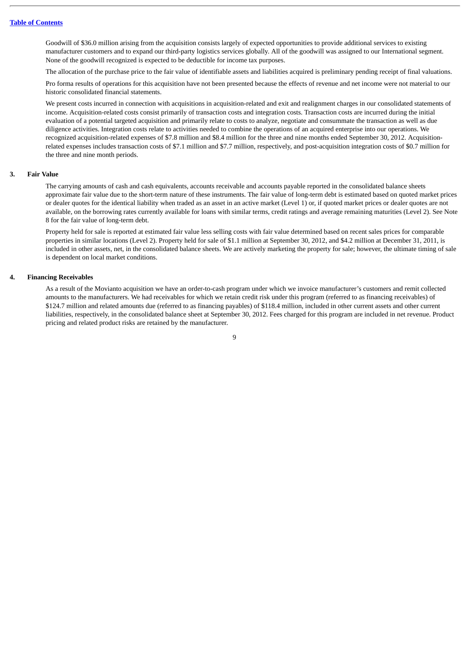Goodwill of \$36.0 million arising from the acquisition consists largely of expected opportunities to provide additional services to existing manufacturer customers and to expand our third-party logistics services globally. All of the goodwill was assigned to our International segment. None of the goodwill recognized is expected to be deductible for income tax purposes.

The allocation of the purchase price to the fair value of identifiable assets and liabilities acquired is preliminary pending receipt of final valuations.

Pro forma results of operations for this acquisition have not been presented because the effects of revenue and net income were not material to our historic consolidated financial statements.

We present costs incurred in connection with acquisitions in acquisition-related and exit and realignment charges in our consolidated statements of income. Acquisition-related costs consist primarily of transaction costs and integration costs. Transaction costs are incurred during the initial evaluation of a potential targeted acquisition and primarily relate to costs to analyze, negotiate and consummate the transaction as well as due diligence activities. Integration costs relate to activities needed to combine the operations of an acquired enterprise into our operations. We recognized acquisition-related expenses of \$7.8 million and \$8.4 million for the three and nine months ended September 30, 2012. Acquisitionrelated expenses includes transaction costs of \$7.1 million and \$7.7 million, respectively, and post-acquisition integration costs of \$0.7 million for the three and nine month periods.

#### **3. Fair Value**

The carrying amounts of cash and cash equivalents, accounts receivable and accounts payable reported in the consolidated balance sheets approximate fair value due to the short-term nature of these instruments. The fair value of long-term debt is estimated based on quoted market prices or dealer quotes for the identical liability when traded as an asset in an active market (Level 1) or, if quoted market prices or dealer quotes are not available, on the borrowing rates currently available for loans with similar terms, credit ratings and average remaining maturities (Level 2). See Note 8 for the fair value of long-term debt.

Property held for sale is reported at estimated fair value less selling costs with fair value determined based on recent sales prices for comparable properties in similar locations (Level 2). Property held for sale of \$1.1 million at September 30, 2012, and \$4.2 million at December 31, 2011, is included in other assets, net, in the consolidated balance sheets. We are actively marketing the property for sale; however, the ultimate timing of sale is dependent on local market conditions.

#### **4. Financing Receivables**

As a result of the Movianto acquisition we have an order-to-cash program under which we invoice manufacturer's customers and remit collected amounts to the manufacturers. We had receivables for which we retain credit risk under this program (referred to as financing receivables) of \$124.7 million and related amounts due (referred to as financing payables) of \$118.4 million, included in other current assets and other current liabilities, respectively, in the consolidated balance sheet at September 30, 2012. Fees charged for this program are included in net revenue. Product pricing and related product risks are retained by the manufacturer.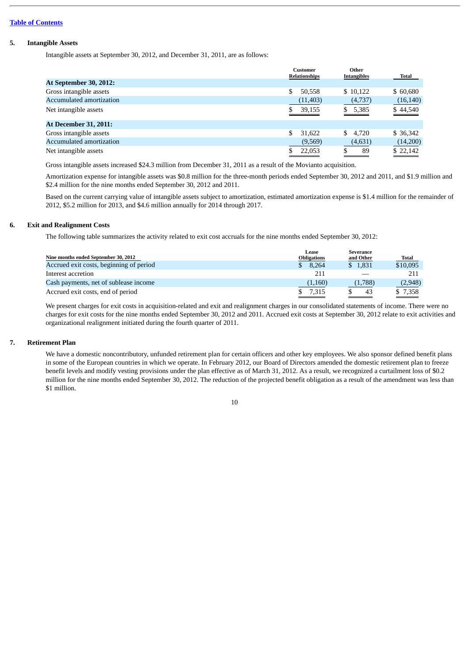#### **5. Intangible Assets**

Intangible assets at September 30, 2012, and December 31, 2011, are as follows:

|                                 | Customer<br><b>Relationships</b> | Other<br><b>Intangibles</b> | <b>Total</b> |
|---------------------------------|----------------------------------|-----------------------------|--------------|
| At September 30, 2012:          |                                  |                             |              |
| Gross intangible assets         | \$<br>50.558                     | \$10,122                    | \$60,680     |
| <b>Accumulated amortization</b> | (11, 403)                        | (4,737)                     | (16, 140)    |
| Net intangible assets           | 39,155                           | 5,385<br>S.                 | \$44,540     |
| At December 31, 2011:           |                                  |                             |              |
| Gross intangible assets         | \$<br>31,622                     | \$<br>4,720                 | \$36,342     |
| Accumulated amortization        | (9,569)                          | (4,631)                     | (14,200)     |
| Net intangible assets           | 22,053                           | 89                          | \$22,142     |

Gross intangible assets increased \$24.3 million from December 31, 2011 as a result of the Movianto acquisition.

Amortization expense for intangible assets was \$0.8 million for the three-month periods ended September 30, 2012 and 2011, and \$1.9 million and \$2.4 million for the nine months ended September 30, 2012 and 2011.

Based on the current carrying value of intangible assets subject to amortization, estimated amortization expense is \$1.4 million for the remainder of 2012, \$5.2 million for 2013, and \$4.6 million annually for 2014 through 2017.

#### **6. Exit and Realignment Costs**

The following table summarizes the activity related to exit cost accruals for the nine months ended September 30, 2012:

| Nine months ended September 30, 2012    | Lease<br><b>Obligations</b> | Severance<br>and Other | <b>Total</b> |
|-----------------------------------------|-----------------------------|------------------------|--------------|
| Accrued exit costs, beginning of period | 8.264                       | \$1.831                | \$10,095     |
| Interest accretion                      | 211                         |                        | 211          |
| Cash payments, net of sublease income   | (1,160)                     | (1,788)                | (2,948)      |
| Accrued exit costs, end of period       | 7,315                       | 43                     | \$ 7,358     |

We present charges for exit costs in acquisition-related and exit and realignment charges in our consolidated statements of income. There were no charges for exit costs for the nine months ended September 30, 2012 and 2011. Accrued exit costs at September 30, 2012 relate to exit activities and organizational realignment initiated during the fourth quarter of 2011.

#### **7. Retirement Plan**

We have a domestic noncontributory, unfunded retirement plan for certain officers and other key employees. We also sponsor defined benefit plans in some of the European countries in which we operate. In February 2012, our Board of Directors amended the domestic retirement plan to freeze benefit levels and modify vesting provisions under the plan effective as of March 31, 2012. As a result, we recognized a curtailment loss of \$0.2 million for the nine months ended September 30, 2012. The reduction of the projected benefit obligation as a result of the amendment was less than \$1 million.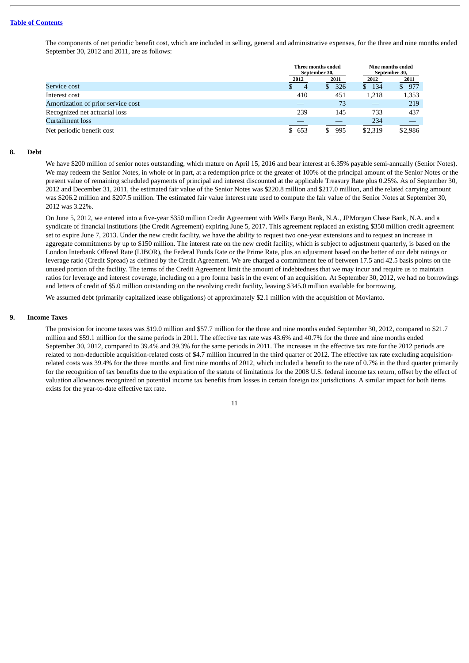The components of net periodic benefit cost, which are included in selling, general and administrative expenses, for the three and nine months ended September 30, 2012 and 2011, are as follows:

|                                    |                         | Three months ended<br>September 30, |          | Nine months ended<br>September 30, |
|------------------------------------|-------------------------|-------------------------------------|----------|------------------------------------|
|                                    | 2012                    | 2011                                | 2012     | 2011                               |
| Service cost                       | 4                       | 326                                 | 134<br>S | \$977                              |
| Interest cost                      | 410                     | 451                                 | 1,218    | 1,353                              |
| Amortization of prior service cost |                         | 73                                  |          | 219                                |
| Recognized net actuarial loss      | 239                     | 145                                 | 733      | 437                                |
| Curtailment loss                   |                         |                                     | 234      |                                    |
| Net periodic benefit cost          | \$ 653<br>$\frac{1}{1}$ | 995                                 | \$2,319  | \$2,986                            |

### **8. Debt**

We have \$200 million of senior notes outstanding, which mature on April 15, 2016 and bear interest at 6.35% payable semi-annually (Senior Notes). We may redeem the Senior Notes, in whole or in part, at a redemption price of the greater of 100% of the principal amount of the Senior Notes or the present value of remaining scheduled payments of principal and interest discounted at the applicable Treasury Rate plus 0.25%. As of September 30, 2012 and December 31, 2011, the estimated fair value of the Senior Notes was \$220.8 million and \$217.0 million, and the related carrying amount was \$206.2 million and \$207.5 million. The estimated fair value interest rate used to compute the fair value of the Senior Notes at September 30, 2012 was 3.22%.

On June 5, 2012, we entered into a five-year \$350 million Credit Agreement with Wells Fargo Bank, N.A., JPMorgan Chase Bank, N.A. and a syndicate of financial institutions (the Credit Agreement) expiring June 5, 2017. This agreement replaced an existing \$350 million credit agreement set to expire June 7, 2013. Under the new credit facility, we have the ability to request two one-year extensions and to request an increase in aggregate commitments by up to \$150 million. The interest rate on the new credit facility, which is subject to adjustment quarterly, is based on the London Interbank Offered Rate (LIBOR), the Federal Funds Rate or the Prime Rate, plus an adjustment based on the better of our debt ratings or leverage ratio (Credit Spread) as defined by the Credit Agreement. We are charged a commitment fee of between 17.5 and 42.5 basis points on the unused portion of the facility. The terms of the Credit Agreement limit the amount of indebtedness that we may incur and require us to maintain ratios for leverage and interest coverage, including on a pro forma basis in the event of an acquisition. At September 30, 2012, we had no borrowings and letters of credit of \$5.0 million outstanding on the revolving credit facility, leaving \$345.0 million available for borrowing.

We assumed debt (primarily capitalized lease obligations) of approximately \$2.1 million with the acquisition of Movianto.

#### **9. Income Taxes**

The provision for income taxes was \$19.0 million and \$57.7 million for the three and nine months ended September 30, 2012, compared to \$21.7 million and \$59.1 million for the same periods in 2011. The effective tax rate was 43.6% and 40.7% for the three and nine months ended September 30, 2012, compared to 39.4% and 39.3% for the same periods in 2011. The increases in the effective tax rate for the 2012 periods are related to non-deductible acquisition-related costs of \$4.7 million incurred in the third quarter of 2012. The effective tax rate excluding acquisitionrelated costs was 39.4% for the three months and first nine months of 2012, which included a benefit to the rate of 0.7% in the third quarter primarily for the recognition of tax benefits due to the expiration of the statute of limitations for the 2008 U.S. federal income tax return, offset by the effect of valuation allowances recognized on potential income tax benefits from losses in certain foreign tax jurisdictions. A similar impact for both items exists for the year-to-date effective tax rate.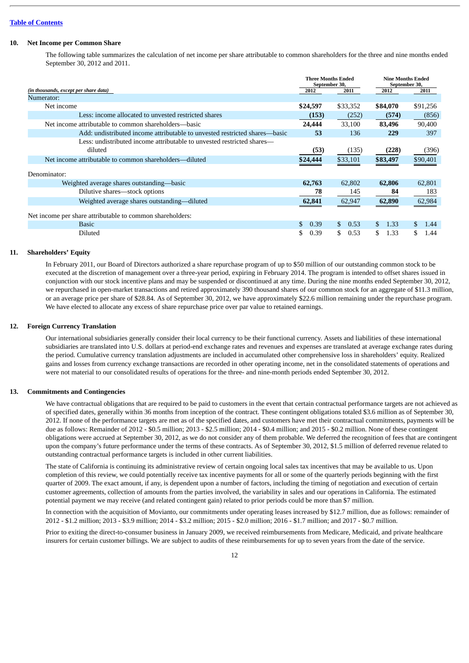#### **10. Net Income per Common Share**

The following table summarizes the calculation of net income per share attributable to common shareholders for the three and nine months ended September 30, 2012 and 2011.

|                                                                            | <b>Three Months Ended</b><br>September 30, |                    | <b>Nine Months Ended</b><br>September 30, |            |
|----------------------------------------------------------------------------|--------------------------------------------|--------------------|-------------------------------------------|------------|
| (in thousands, except per share data)                                      | 2012                                       | 2011               | 2012                                      | 2011       |
| Numerator:                                                                 |                                            |                    |                                           |            |
| Net income                                                                 | \$24,597                                   | \$33,352           | \$84,070                                  | \$91,256   |
| Less: income allocated to unvested restricted shares                       | (153)                                      | (252)              | (574)                                     | (856)      |
| Net income attributable to common shareholders—basic                       | 24,444                                     | 33,100             | 83,496                                    | 90,400     |
| Add: undistributed income attributable to unvested restricted shares—basic | 53                                         | 136                | 229                                       | 397        |
| Less: undistributed income attributable to unvested restricted shares—     |                                            |                    |                                           |            |
| diluted                                                                    | (53)                                       | (135)              | (228)                                     | (396)      |
| Net income attributable to common shareholders—diluted                     | \$24,444                                   | \$33,101           | \$83,497                                  | \$90,401   |
|                                                                            |                                            |                    |                                           |            |
| Denominator:                                                               |                                            |                    |                                           |            |
| Weighted average shares outstanding—basic                                  | 62,763                                     | 62,802             | 62,806                                    | 62,801     |
| Dilutive shares—stock options                                              | 78                                         | 145                | 84                                        | 183        |
| Weighted average shares outstanding—diluted                                | 62,841                                     | 62,947             | 62,890                                    | 62,984     |
|                                                                            |                                            |                    |                                           |            |
| Net income per share attributable to common shareholders:                  |                                            |                    |                                           |            |
| Basic                                                                      | \$<br>0.39                                 | $\frac{1}{2}$ 0.53 | \$1.33                                    | S.<br>1.44 |
| Diluted                                                                    | \$<br>0.39                                 | \$<br>0.53         | 1.33<br>S.                                | 1.44       |

### **11. Shareholders' Equity**

In February 2011, our Board of Directors authorized a share repurchase program of up to \$50 million of our outstanding common stock to be executed at the discretion of management over a three-year period, expiring in February 2014. The program is intended to offset shares issued in conjunction with our stock incentive plans and may be suspended or discontinued at any time. During the nine months ended September 30, 2012, we repurchased in open-market transactions and retired approximately 390 thousand shares of our common stock for an aggregate of \$11.3 million, or an average price per share of \$28.84. As of September 30, 2012, we have approximately \$22.6 million remaining under the repurchase program. We have elected to allocate any excess of share repurchase price over par value to retained earnings.

#### **12. Foreign Currency Translation**

Our international subsidiaries generally consider their local currency to be their functional currency. Assets and liabilities of these international subsidiaries are translated into U.S. dollars at period-end exchange rates and revenues and expenses are translated at average exchange rates during the period. Cumulative currency translation adjustments are included in accumulated other comprehensive loss in shareholders' equity. Realized gains and losses from currency exchange transactions are recorded in other operating income, net in the consolidated statements of operations and were not material to our consolidated results of operations for the three- and nine-month periods ended September 30, 2012.

#### **13. Commitments and Contingencies**

We have contractual obligations that are required to be paid to customers in the event that certain contractual performance targets are not achieved as of specified dates, generally within 36 months from inception of the contract. These contingent obligations totaled \$3.6 million as of September 30, 2012. If none of the performance targets are met as of the specified dates, and customers have met their contractual commitments, payments will be due as follows: Remainder of 2012 - \$0.5 million; 2013 - \$2.5 million; 2014 - \$0.4 million; and 2015 - \$0.2 million. None of these contingent obligations were accrued at September 30, 2012, as we do not consider any of them probable. We deferred the recognition of fees that are contingent upon the company's future performance under the terms of these contracts. As of September 30, 2012, \$1.5 million of deferred revenue related to outstanding contractual performance targets is included in other current liabilities.

The state of California is continuing its administrative review of certain ongoing local sales tax incentives that may be available to us. Upon completion of this review, we could potentially receive tax incentive payments for all or some of the quarterly periods beginning with the first quarter of 2009. The exact amount, if any, is dependent upon a number of factors, including the timing of negotiation and execution of certain customer agreements, collection of amounts from the parties involved, the variability in sales and our operations in California. The estimated potential payment we may receive (and related contingent gain) related to prior periods could be more than \$7 million.

In connection with the acquisition of Movianto, our commitments under operating leases increased by \$12.7 million, due as follows: remainder of 2012 - \$1.2 million; 2013 - \$3.9 million; 2014 - \$3.2 million; 2015 - \$2.0 million; 2016 - \$1.7 million; and 2017 - \$0.7 million.

Prior to exiting the direct-to-consumer business in January 2009, we received reimbursements from Medicare, Medicaid, and private healthcare insurers for certain customer billings. We are subject to audits of these reimbursements for up to seven years from the date of the service.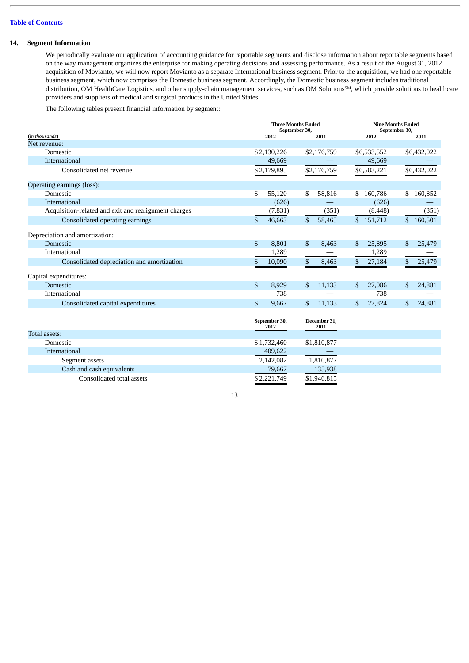### **14. Segment Information**

We periodically evaluate our application of accounting guidance for reportable segments and disclose information about reportable segments based on the way management organizes the enterprise for making operating decisions and assessing performance. As a result of the August 31, 2012 acquisition of Movianto, we will now report Movianto as a separate International business segment. Prior to the acquisition, we had one reportable business segment, which now comprises the Domestic business segment. Accordingly, the Domestic business segment includes traditional distribution, OM HealthCare Logistics, and other supply-chain management services, such as OM Solutions<sup>SM</sup>, which provide solutions to healthcare providers and suppliers of medical and surgical products in the United States.

The following tables present financial information by segment:

|                                                      | <b>Three Months Ended</b><br>September 30, |                      | <b>Nine Months Ended</b><br>September 30, |               |  |  |
|------------------------------------------------------|--------------------------------------------|----------------------|-------------------------------------------|---------------|--|--|
| (in thousands)                                       | 2012                                       | 2011                 | 2012                                      | 2011          |  |  |
| Net revenue:                                         |                                            |                      |                                           |               |  |  |
| Domestic                                             | \$2,130,226                                | \$2,176,759          | \$6,533,552                               | \$6,432,022   |  |  |
| International                                        | 49,669                                     |                      | 49,669                                    |               |  |  |
| Consolidated net revenue                             | \$2,179,895                                | \$2,176,759          | \$6,583,221                               | \$6,432,022   |  |  |
| Operating earnings (loss):                           |                                            |                      |                                           |               |  |  |
| Domestic                                             | \$<br>55,120                               | \$<br>58,816         | \$<br>160,786                             | \$<br>160,852 |  |  |
| <b>International</b>                                 | (626)                                      |                      | (626)                                     |               |  |  |
| Acquisition-related and exit and realignment charges | (7, 831)                                   | (351)                | (8, 448)                                  | (351)         |  |  |
| Consolidated operating earnings                      | \$<br>46,663                               | \$<br>58,465         | 151,712<br>\$                             | \$160,501     |  |  |
| Depreciation and amortization:                       |                                            |                      |                                           |               |  |  |
| <b>Domestic</b>                                      | \$<br>8,801                                | \$<br>8,463          | \$<br>25,895                              | \$<br>25,479  |  |  |
| International                                        | 1,289                                      |                      | 1,289                                     |               |  |  |
| Consolidated depreciation and amortization           | \$<br>10,090                               | \$<br>8,463          | \$<br>27,184                              | \$<br>25,479  |  |  |
| Capital expenditures:                                |                                            |                      |                                           |               |  |  |
| Domestic                                             | \$<br>8,929                                | \$<br>11,133         | \$<br>27,086                              | \$<br>24,881  |  |  |
| International                                        | 738                                        |                      | 738                                       |               |  |  |
| Consolidated capital expenditures                    | \$<br>9,667                                | \$<br>11,133         | \$<br>27,824                              | \$<br>24,881  |  |  |
|                                                      | September 30,<br>2012                      | December 31,<br>2011 |                                           |               |  |  |
| Total assets:                                        |                                            |                      |                                           |               |  |  |
| Domestic                                             | \$1,732,460                                | \$1,810,877          |                                           |               |  |  |
| International                                        | 409,622                                    |                      |                                           |               |  |  |
| Segment assets                                       | 2,142,082                                  | 1,810,877            |                                           |               |  |  |
| Cash and cash equivalents                            | 79,667                                     | 135,938              |                                           |               |  |  |
| Consolidated total assets                            | \$2,221,749                                | \$1,946,815          |                                           |               |  |  |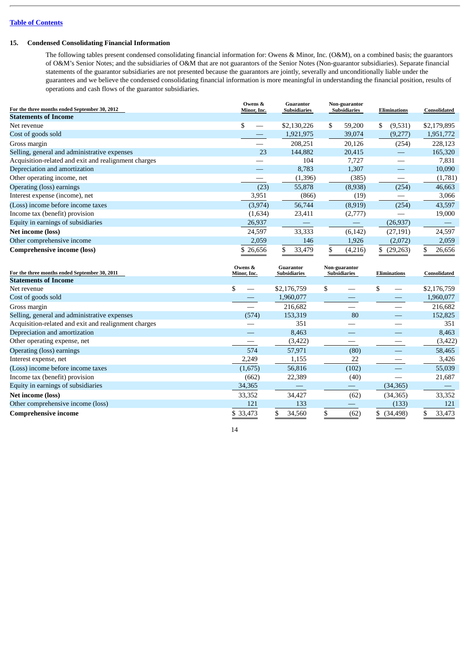### **15. Condensed Consolidating Financial Information**

The following tables present condensed consolidating financial information for: Owens & Minor, Inc. (O&M), on a combined basis; the guarantors of O&M's Senior Notes; and the subsidiaries of O&M that are not guarantors of the Senior Notes (Non-guarantor subsidiaries). Separate financial statements of the guarantor subsidiaries are not presented because the guarantors are jointly, severally and unconditionally liable under the guarantees and we believe the condensed consolidating financial information is more meaningful in understanding the financial position, results of operations and cash flows of the guarantor subsidiaries.

| For the three months ended September 30, 2012        | Owens &<br>Minor, Inc. | Guarantor<br><b>Subsidiaries</b> | Non-guarantor<br><b>Subsidiaries</b> | <b>Eliminations</b> | Consolidated |
|------------------------------------------------------|------------------------|----------------------------------|--------------------------------------|---------------------|--------------|
| <b>Statements of Income</b>                          |                        |                                  |                                      |                     |              |
| Net revenue                                          | \$                     | \$2,130,226                      | \$<br>59,200                         | \$<br>(9,531)       | \$2,179,895  |
| Cost of goods sold                                   |                        | 1,921,975                        | 39,074                               | (9,277)             | 1,951,772    |
| Gross margin                                         |                        | 208,251                          | 20,126                               | (254)               | 228,123      |
| Selling, general and administrative expenses         | 23                     | 144,882                          | 20,415                               |                     | 165,320      |
| Acquisition-related and exit and realignment charges |                        | 104                              | 7,727                                |                     | 7,831        |
| Depreciation and amortization                        |                        | 8,783                            | 1,307                                |                     | 10,090       |
| Other operating income, net                          |                        | (1,396)                          | (385)                                |                     | (1,781)      |
| Operating (loss) earnings                            | (23)                   | 55,878                           | (8,938)                              | (254)               | 46,663       |
| Interest expense (income), net                       | 3,951                  | (866)                            | (19)                                 |                     | 3,066        |
| (Loss) income before income taxes                    | (3,974)                | 56,744                           | (8,919)                              | (254)               | 43,597       |
| Income tax (benefit) provision                       | (1,634)                | 23,411                           | (2,777)                              |                     | 19,000       |
| Equity in earnings of subsidiaries                   | 26,937                 |                                  |                                      | (26, 937)           |              |
| Net income (loss)                                    | 24,597                 | 33,333                           | (6, 142)                             | (27, 191)           | 24,597       |
| Other comprehensive income                           | 2,059                  | 146                              | 1,926                                | (2,072)             | 2,059        |
| <b>Comprehensive income (loss)</b>                   | \$26,656               | 33,479                           | (4,216)                              | \$<br>(29, 263)     | 26,656       |

| For the three months ended September 30, 2011        | Owens &<br>Minor, Inc. | Guarantor<br><b>Subsidiaries</b> | Non-guarantor<br><b>Subsidiaries</b> | <b>Eliminations</b> | Consolidated |
|------------------------------------------------------|------------------------|----------------------------------|--------------------------------------|---------------------|--------------|
| <b>Statements of Income</b>                          |                        |                                  |                                      |                     |              |
| Net revenue                                          |                        | \$2,176,759                      | \$                                   |                     | \$2,176,759  |
| Cost of goods sold                                   |                        | 1,960,077                        |                                      |                     | 1,960,077    |
| Gross margin                                         |                        | 216,682                          |                                      |                     | 216,682      |
| Selling, general and administrative expenses         | (574)                  | 153,319                          | 80                                   |                     | 152,825      |
| Acquisition-related and exit and realignment charges |                        | 351                              |                                      |                     | 351          |
| Depreciation and amortization                        |                        | 8,463                            |                                      |                     | 8,463        |
| Other operating expense, net                         |                        | (3, 422)                         |                                      |                     | (3, 422)     |
| Operating (loss) earnings                            | 574                    | 57,971                           | (80)                                 |                     | 58,465       |
| Interest expense, net                                | 2,249                  | 1,155                            | 22                                   |                     | 3,426        |
| (Loss) income before income taxes                    | (1,675)                | 56,816                           | (102)                                |                     | 55,039       |
| Income tax (benefit) provision                       | (662)                  | 22,389                           | (40)                                 |                     | 21,687       |
| Equity in earnings of subsidiaries                   | 34,365                 |                                  |                                      | (34, 365)           |              |
| Net income (loss)                                    | 33,352                 | 34,427                           | (62)                                 | (34, 365)           | 33,352       |
| Other comprehensive income (loss)                    | 121                    | 133                              |                                      | (133)               | 121          |
| <b>Comprehensive income</b>                          | \$33,473               | 34,560                           | (62)                                 | (34, 498)<br>S.     | 33,473       |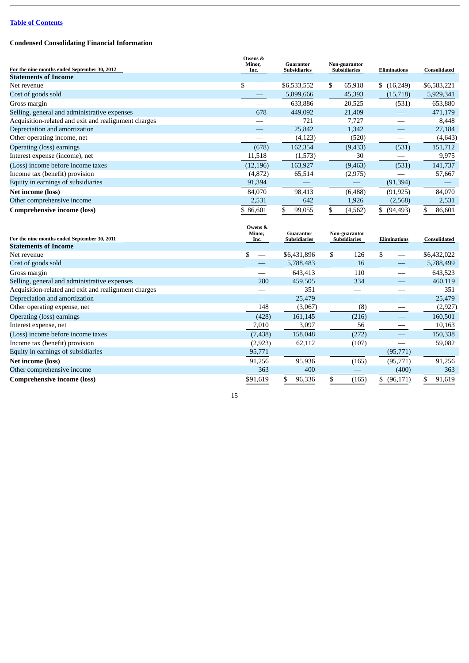### **Condensed Consolidating Financial Information**

|                                                      | Owens &<br>Minor, | Guarantor           | Non-guarantor       |                     |              |
|------------------------------------------------------|-------------------|---------------------|---------------------|---------------------|--------------|
| For the nine months ended September 30, 2012         | Inc.              | <b>Subsidiaries</b> | <b>Subsidiaries</b> | <b>Eliminations</b> | Consolidated |
| <b>Statements of Income</b>                          |                   |                     |                     |                     |              |
| Net revenue                                          | \$                | \$6,533,552         | \$<br>65,918        | \$(16,249)          | \$6,583,221  |
| Cost of goods sold                                   |                   | 5,899,666           | 45,393              | (15,718)            | 5,929,341    |
| Gross margin                                         |                   | 633,886             | 20,525              | (531)               | 653,880      |
| Selling, general and administrative expenses         | 678               | 449,092             | 21,409              |                     | 471,179      |
| Acquisition-related and exit and realignment charges |                   | 721                 | 7,727               |                     | 8,448        |
| Depreciation and amortization                        |                   | 25,842              | 1,342               |                     | 27,184       |
| Other operating income, net                          |                   | (4, 123)            | (520)               |                     | (4,643)      |
| Operating (loss) earnings                            | (678)             | 162,354             | (9, 433)            | (531)               | 151,712      |
| Interest expense (income), net                       | 11,518            | (1,573)             | 30                  |                     | 9,975        |
| (Loss) income before income taxes                    | (12, 196)         | 163,927             | (9,463)             | (531)               | 141,737      |
| Income tax (benefit) provision                       | (4, 872)          | 65,514              | (2,975)             |                     | 57,667       |
| Equity in earnings of subsidiaries                   | 91,394            |                     |                     | (91, 394)           |              |
| Net income (loss)                                    | 84,070            | 98,413              | (6, 488)            | (91, 925)           | 84,070       |
| Other comprehensive income                           | 2,531             | 642                 | 1,926               | (2,568)             | 2,531        |
| <b>Comprehensive income (loss)</b>                   | \$86,601          | \$<br>99,055        | (4, 562)            | \$ (94, 493)        | 86,601       |

| For the nine months ended September 30, 2011         | Owens &<br>Minor,<br>Inc. | Guarantor<br><b>Subsidiaries</b> | Non-guarantor<br><b>Subsidiaries</b> |       | <b>Eliminations</b> | Consolidated |
|------------------------------------------------------|---------------------------|----------------------------------|--------------------------------------|-------|---------------------|--------------|
| <b>Statements of Income</b>                          |                           |                                  |                                      |       |                     |              |
| Net revenue                                          | \$                        | \$6,431,896                      | \$                                   | 126   | \$                  | \$6,432,022  |
| Cost of goods sold                                   |                           | 5,788,483                        |                                      | 16    |                     | 5,788,499    |
| Gross margin                                         |                           | 643,413                          |                                      | 110   |                     | 643,523      |
| Selling, general and administrative expenses         | 280                       | 459,505                          |                                      | 334   |                     | 460,119      |
| Acquisition-related and exit and realignment charges |                           | 351                              |                                      |       |                     | 351          |
| Depreciation and amortization                        |                           | 25,479                           |                                      |       |                     | 25,479       |
| Other operating expense, net                         | 148                       | (3,067)                          |                                      | (8)   |                     | (2,927)      |
| Operating (loss) earnings                            | (428)                     | 161,145                          |                                      | (216) |                     | 160,501      |
| Interest expense, net                                | 7,010                     | 3,097                            |                                      | 56    |                     | 10,163       |
| (Loss) income before income taxes                    | (7, 438)                  | 158,048                          |                                      | (272) |                     | 150,338      |
| Income tax (benefit) provision                       | (2,923)                   | 62,112                           |                                      | (107) |                     | 59,082       |
| Equity in earnings of subsidiaries                   | 95,771                    |                                  |                                      |       | (95, 771)           |              |
| Net income (loss)                                    | 91,256                    | 95,936                           |                                      | (165) | (95, 771)           | 91,256       |
| Other comprehensive income                           | 363                       | 400                              |                                      |       | (400)               | 363          |
| <b>Comprehensive income (loss)</b>                   | \$91,619                  | 96,336                           |                                      | (165) | (96, 171)           | 91,619       |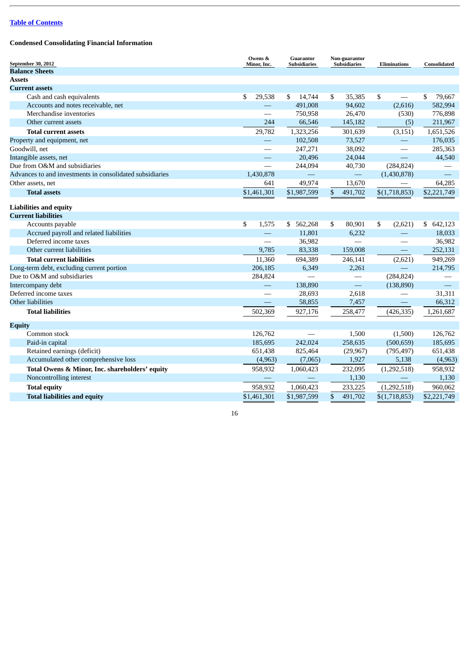### **Condensed Consolidating Financial Information**

| September 30, 2012<br><b>Balance Sheets</b>              | Owens &<br>Minor, Inc.   | Guarantor<br><b>Subsidiaries</b> | Non-guarantor<br><b>Subsidiaries</b> | <b>Eliminations</b>            | Consolidated  |
|----------------------------------------------------------|--------------------------|----------------------------------|--------------------------------------|--------------------------------|---------------|
| <b>Assets</b>                                            |                          |                                  |                                      |                                |               |
| <b>Current assets</b>                                    |                          |                                  |                                      |                                |               |
| Cash and cash equivalents                                | \$<br>29,538             | \$<br>14,744                     | \$<br>35,385                         | \$<br>$\overline{\phantom{0}}$ | \$<br>79,667  |
| Accounts and notes receivable, net                       |                          | 491,008                          | 94,602                               | (2,616)                        | 582,994       |
| Merchandise inventories                                  | $\overline{\phantom{0}}$ | 750,958                          | 26,470                               | (530)                          | 776,898       |
| Other current assets                                     | 244                      | 66,546                           | 145,182                              | (5)                            | 211,967       |
| Total current assets                                     | 29,782                   | 1,323,256                        | 301,639                              | (3, 151)                       | 1,651,526     |
| Property and equipment, net                              | $\overline{\phantom{0}}$ | 102,508                          | 73,527                               |                                | 176,035       |
| Goodwill, net                                            | $\overline{\phantom{0}}$ | 247,271                          | 38,092                               |                                | 285,363       |
| Intangible assets, net                                   | $\overline{\phantom{0}}$ | 20,496                           | 24,044                               |                                | 44,540        |
| Due from O&M and subsidiaries                            | $\overline{\phantom{0}}$ | 244,094                          | 40,730                               | (284, 824)                     |               |
| Advances to and investments in consolidated subsidiaries | 1,430,878                |                                  |                                      | (1,430,878)                    |               |
| Other assets, net                                        | 641                      | 49,974                           | 13,670                               |                                | 64,285        |
| <b>Total assets</b>                                      | \$1,461,301              | \$1,987,599                      | \$<br>491,702                        | \$(1,718,853)                  | \$2,221,749   |
| <b>Liabilities and equity</b>                            |                          |                                  |                                      |                                |               |
| <b>Current liabilities</b>                               |                          |                                  |                                      |                                |               |
| Accounts payable                                         | \$<br>1,575              | 562,268<br>\$                    | \$<br>80,901                         | \$<br>(2,621)                  | \$<br>642,123 |
| Accrued payroll and related liabilities                  |                          | 11,801                           | 6,232                                |                                | 18,033        |
| Deferred income taxes                                    |                          | 36,982                           |                                      |                                | 36,982        |
| Other current liabilities                                | 9,785                    | 83,338                           | 159,008                              |                                | 252,131       |
| <b>Total current liabilities</b>                         | 11,360                   | 694,389                          | 246,141                              | (2,621)                        | 949,269       |
| Long-term debt, excluding current portion                | 206,185                  | 6,349                            | 2,261                                | $\equiv$                       | 214,795       |
| Due to O&M and subsidiaries                              | 284,824                  |                                  |                                      | (284, 824)                     |               |
| Intercompany debt                                        |                          | 138,890                          | $\equiv$                             | (138, 890)                     | $\equiv$      |
| Deferred income taxes                                    | $\overline{\phantom{0}}$ | 28,693                           | 2,618                                |                                | 31,311        |
| Other liabilities                                        | $\overline{\phantom{0}}$ | 58,855                           | 7,457                                |                                | 66,312        |
| <b>Total liabilities</b>                                 | 502,369                  | 927,176                          | 258,477                              | (426, 335)                     | 1,261,687     |
| <b>Equity</b>                                            |                          |                                  |                                      |                                |               |
| Common stock                                             | 126,762                  |                                  | 1,500                                | (1,500)                        | 126,762       |
| Paid-in capital                                          | 185,695                  | 242.024                          | 258,635                              | (500, 659)                     | 185,695       |
| Retained earnings (deficit)                              | 651,438                  | 825,464                          | (29, 967)                            | (795, 497)                     | 651,438       |
| Accumulated other comprehensive loss                     | (4,963)                  | (7,065)                          | 1,927                                | 5,138                          | (4,963)       |
| Total Owens & Minor, Inc. shareholders' equity           | 958,932                  | 1,060,423                        | 232,095                              | (1,292,518)                    | 958,932       |
| Noncontrolling interest                                  |                          |                                  | 1,130                                |                                | 1,130         |
| <b>Total equity</b>                                      | 958,932                  | 1,060,423                        | 233,225                              | (1,292,518)                    | 960,062       |
| <b>Total liabilities and equity</b>                      | \$1,461,301              | \$1,987,599                      | \$<br>491,702                        | \$(1,718,853)                  | \$2,221,749   |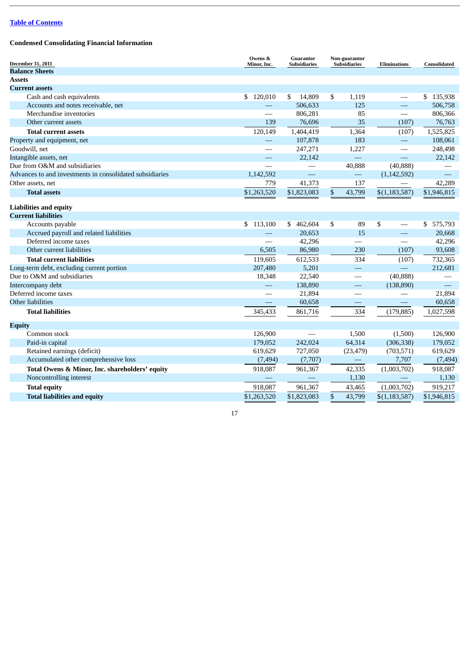### **Condensed Consolidating Financial Information**

| December 31, 2011                                        | Owens &<br>Minor, Inc. | Guarantor<br><b>Subsidiaries</b> | Non-guarantor<br><b>Subsidiaries</b> | <b>Eliminations</b>      | Consolidated            |
|----------------------------------------------------------|------------------------|----------------------------------|--------------------------------------|--------------------------|-------------------------|
| <b>Balance Sheets</b>                                    |                        |                                  |                                      |                          |                         |
| <b>Assets</b>                                            |                        |                                  |                                      |                          |                         |
| <b>Current assets</b>                                    |                        |                                  |                                      |                          |                         |
| Cash and cash equivalents                                | \$120,010              | \$<br>14,809                     | \$<br>1,119                          |                          | \$135,938               |
| Accounts and notes receivable, net                       |                        | 506,633                          | 125                                  | $\overline{\phantom{0}}$ | 506,758                 |
| Merchandise inventories                                  |                        | 806,281                          | 85                                   | $\overline{\phantom{0}}$ | 806,366                 |
| Other current assets                                     | 139                    | 76,696                           | 35                                   | (107)                    | 76,763                  |
| Total current assets                                     | 120,149                | 1,404,419                        | 1,364                                | (107)                    | 1,525,825               |
| Property and equipment, net                              |                        | 107,878                          | 183                                  | $\overline{\phantom{a}}$ | 108,061                 |
| Goodwill, net                                            |                        | 247,271                          | 1,227                                | $\overline{\phantom{0}}$ | 248,498                 |
| Intangible assets, net                                   |                        | 22,142                           | $\qquad \qquad$                      |                          | 22,142                  |
| Due from O&M and subsidiaries                            |                        |                                  | 40,888                               | (40, 888)                |                         |
| Advances to and investments in consolidated subsidiaries | 1,142,592              |                                  |                                      | (1, 142, 592)            |                         |
| Other assets, net                                        | 779                    | 41,373                           | 137                                  |                          | 42,289                  |
| <b>Total assets</b>                                      | \$1,263,520            | \$1,823,083                      | \$<br>43,799                         | \$(1,183,587)            | \$1,946,815             |
| <b>Liabilities and equity</b>                            |                        |                                  |                                      |                          |                         |
| <b>Current liabilities</b>                               |                        |                                  |                                      |                          |                         |
| Accounts payable                                         | \$ 113,100             | 462,604<br>\$                    | \$<br>89                             | \$                       | $\mathbb{S}$<br>575,793 |
| Accrued payroll and related liabilities                  |                        | 20.653                           | 15                                   |                          | 20,668                  |
| Deferred income taxes                                    |                        | 42,296                           |                                      |                          | 42,296                  |
| Other current liabilities                                | 6,505                  | 86,980                           | 230                                  | (107)                    | 93,608                  |
| <b>Total current liabilities</b>                         | 119,605                | 612,533                          | 334                                  | (107)                    | 732,365                 |
| Long-term debt, excluding current portion                | 207,480                | 5,201                            |                                      | $\equiv$                 | 212,681                 |
| Due to O&M and subsidiaries                              | 18,348                 | 22,540                           | $\overbrace{\phantom{aaaaa}}$        | (40, 888)                |                         |
| Intercompany debt                                        |                        | 138,890                          | $\qquad \qquad -$                    | (138, 890)               | $\equiv$                |
| Deferred income taxes                                    |                        | 21,894                           | $\overline{\phantom{0}}$             |                          | 21,894                  |
| Other liabilities                                        |                        | 60,658                           |                                      |                          | 60,658                  |
| <b>Total liabilities</b>                                 | 345,433                | 861,716                          | 334                                  | (179, 885)               | 1,027,598               |
| <b>Equity</b>                                            |                        |                                  |                                      |                          |                         |
| Common stock                                             | 126,900                | $\overline{\phantom{0}}$         | 1,500                                | (1,500)                  | 126,900                 |
| Paid-in capital                                          | 179.052                | 242,024                          | 64,314                               | (306, 338)               | 179,052                 |
| Retained earnings (deficit)                              | 619,629                | 727,050                          | (23, 479)                            | (703, 571)               | 619,629                 |
| Accumulated other comprehensive loss                     | (7, 494)               | (7,707)                          |                                      | 7,707                    | (7, 494)                |
| Total Owens & Minor, Inc. shareholders' equity           | 918,087                | 961,367                          | 42,335                               | (1,003,702)              | 918,087                 |
| Noncontrolling interest                                  |                        |                                  | 1,130                                |                          | 1,130                   |
| <b>Total equity</b>                                      | 918,087                | 961,367                          | 43,465                               | (1,003,702)              | 919,217                 |
| <b>Total liabilities and equity</b>                      | \$1,263,520            | \$1,823,083                      | \$<br>43,799                         | \$(1,183,587)            | \$1,946,815             |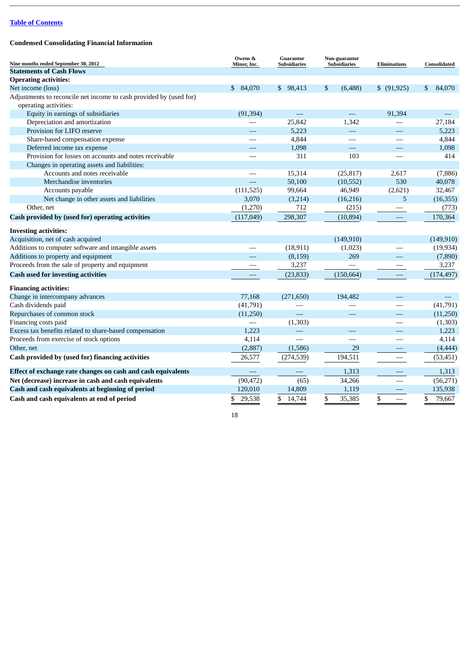### **Condensed Consolidating Financial Information**

| Nine months ended September 30, 2012                               | Owens &<br>Minor, Inc. | Guarantor<br><b>Subsidiaries</b> | Non-guarantor<br><b>Subsidiaries</b> | <b>Eliminations</b> | Consolidated           |
|--------------------------------------------------------------------|------------------------|----------------------------------|--------------------------------------|---------------------|------------------------|
| <b>Statements of Cash Flows</b>                                    |                        |                                  |                                      |                     |                        |
| <b>Operating activities:</b>                                       |                        |                                  |                                      |                     |                        |
| Net income (loss)                                                  | \$ 84,070              | \$98,413                         | (6, 488)<br>\$                       | \$ (91,925)         | $\mathbb{S}$<br>84,070 |
| Adjustments to reconcile net income to cash provided by (used for) |                        |                                  |                                      |                     |                        |
| operating activities:                                              |                        |                                  |                                      |                     |                        |
| Equity in earnings of subsidiaries                                 | (91, 394)              | $\overline{\phantom{0}}$         | $\equiv$                             | 91,394              |                        |
| Depreciation and amortization                                      |                        | 25,842                           | 1,342                                |                     | 27,184                 |
| Provision for LIFO reserve                                         |                        | 5,223                            |                                      |                     | 5,223                  |
| Share-based compensation expense                                   |                        | 4,844                            |                                      |                     | 4,844                  |
| Deferred income tax expense                                        |                        | 1,098                            |                                      |                     | 1,098                  |
| Provision for losses on accounts and notes receivable              |                        | 311                              | 103                                  |                     | 414                    |
| Changes in operating assets and liabilities:                       |                        |                                  |                                      |                     |                        |
| Accounts and notes receivable                                      |                        | 15,314                           | (25, 817)                            | 2,617               | (7,886)                |
| Merchandise inventories                                            |                        | 50,100                           | (10, 552)                            | 530                 | 40,078                 |
| Accounts payable                                                   | (111, 525)             | 99,664                           | 46,949                               | (2,621)             | 32,467                 |
| Net change in other assets and liabilities                         | 3,070                  | (3,214)                          | (16, 216)                            | $\overline{5}$      | (16, 355)              |
| Other, net                                                         | (1,270)                | 712                              | (215)                                |                     | (773)                  |
| Cash provided by (used for) operating activities                   | (117, 049)             | 298,307                          | (10, 894)                            |                     | 170,364                |
| <b>Investing activities:</b>                                       |                        |                                  |                                      |                     |                        |
| Acquisition, net of cash acquired                                  |                        |                                  | (149, 910)                           |                     | (149, 910)             |
| Additions to computer software and intangible assets               |                        | (18, 911)                        | (1,023)                              |                     | (19, 934)              |
| Additions to property and equipment                                |                        | (8, 159)                         | 269                                  |                     | (7,890)                |
| Proceeds from the sale of property and equipment                   |                        | 3,237                            |                                      |                     | 3,237                  |
| <b>Cash used for investing activities</b>                          |                        | (23, 833)                        | (150, 664)                           |                     | (174, 497)             |
| <b>Financing activities:</b>                                       |                        |                                  |                                      |                     |                        |
| Change in intercompany advances                                    | 77,168                 | (271, 650)                       | 194,482                              |                     |                        |
| Cash dividends paid                                                | (41, 791)              |                                  |                                      |                     | (41, 791)              |
| Repurchases of common stock                                        | (11,250)               |                                  |                                      |                     | (11,250)               |
| Financing costs paid                                               |                        | (1, 303)                         |                                      |                     | (1, 303)               |
| Excess tax benefits related to share-based compensation            | 1,223                  |                                  |                                      |                     | 1,223                  |
| Proceeds from exercise of stock options                            | 4,114                  |                                  |                                      |                     | 4,114                  |
| Other, net                                                         | (2,887)                | (1,586)                          | 29                                   |                     | (4, 444)               |
| Cash provided by (used for) financing activities                   | 26,577                 | (274, 539)                       | 194,511                              |                     | (53, 451)              |
| Effect of exchange rate changes on cash and cash equivalents       |                        |                                  | 1,313                                |                     | 1,313                  |
| Net (decrease) increase in cash and cash equivalents               | (90, 472)              | (65)                             | 34,266                               |                     | (56, 271)              |
| Cash and cash equivalents at beginning of period                   | 120,010                | 14,809                           | 1,119                                |                     | 135,938                |
| Cash and cash equivalents at end of period                         | \$<br>29,538           | \$<br>14,744                     | \$<br>35,385                         | \$                  | 79,667<br>\$           |
|                                                                    |                        |                                  |                                      |                     |                        |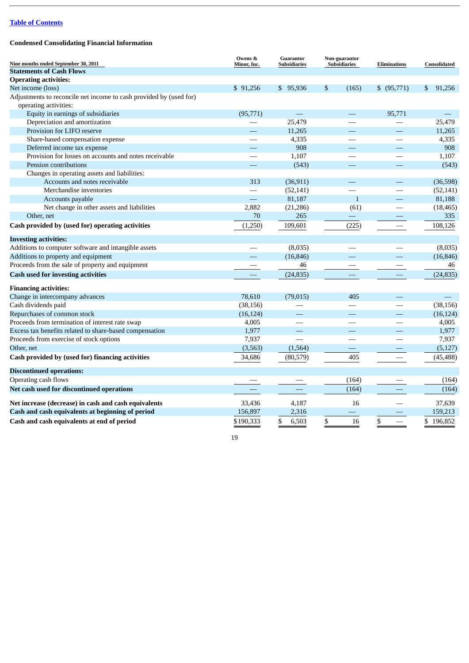### **Condensed Consolidating Financial Information**

| Nine months ended September 30, 2011                               | Owens &<br>Minor, Inc. | Guarantor<br><b>Subsidiaries</b> | Non-guarantor<br><b>Subsidiaries</b> | <b>Eliminations</b>                     | Consolidated |
|--------------------------------------------------------------------|------------------------|----------------------------------|--------------------------------------|-----------------------------------------|--------------|
| <b>Statements of Cash Flows</b>                                    |                        |                                  |                                      |                                         |              |
| <b>Operating activities:</b>                                       |                        |                                  |                                      |                                         |              |
| Net income (loss)                                                  | \$91,256               | \$95,936                         | \$<br>(165)                          | \$ (95,771)                             | 91,256<br>\$ |
| Adjustments to reconcile net income to cash provided by (used for) |                        |                                  |                                      |                                         |              |
| operating activities:                                              |                        |                                  |                                      |                                         |              |
| Equity in earnings of subsidiaries                                 | (95, 771)              |                                  |                                      | 95,771                                  |              |
| Depreciation and amortization                                      |                        | 25,479                           |                                      |                                         | 25,479       |
| Provision for LIFO reserve                                         |                        | 11,265                           |                                      |                                         | 11,265       |
| Share-based compensation expense                                   |                        | 4,335                            |                                      |                                         | 4,335        |
| Deferred income tax expense                                        |                        | 908                              |                                      |                                         | 908          |
| Provision for losses on accounts and notes receivable              |                        | 1,107                            |                                      |                                         | 1,107        |
| <b>Pension contributions</b>                                       |                        | (543)                            |                                      |                                         | (543)        |
| Changes in operating assets and liabilities:                       |                        |                                  |                                      |                                         |              |
| Accounts and notes receivable                                      | 313                    | (36, 911)                        |                                      |                                         | (36,598)     |
| Merchandise inventories                                            |                        | (52, 141)                        |                                      |                                         | (52, 141)    |
| Accounts payable                                                   |                        | 81,187                           | $\mathbf{1}$                         |                                         | 81,188       |
| Net change in other assets and liabilities                         | 2,882                  | (21, 286)                        | (61)                                 |                                         | (18, 465)    |
| Other, net                                                         | 70                     | 265                              |                                      |                                         | 335          |
| Cash provided by (used for) operating activities                   | (1,250)                | 109,601                          | (225)                                |                                         | 108,126      |
| <b>Investing activities:</b>                                       |                        |                                  |                                      |                                         |              |
| Additions to computer software and intangible assets               |                        | (8,035)                          |                                      |                                         | (8,035)      |
| Additions to property and equipment                                |                        | (16, 846)                        |                                      |                                         | (16, 846)    |
| Proceeds from the sale of property and equipment                   |                        | 46                               |                                      |                                         | 46           |
| <b>Cash used for investing activities</b>                          |                        | (24, 835)                        |                                      |                                         | (24, 835)    |
| <b>Financing activities:</b>                                       |                        |                                  |                                      |                                         |              |
| Change in intercompany advances                                    | 78.610                 | (79, 015)                        | 405                                  |                                         |              |
| Cash dividends paid                                                | (38, 156)              |                                  |                                      |                                         | (38, 156)    |
| Repurchases of common stock                                        | (16, 124)              |                                  |                                      |                                         | (16, 124)    |
| Proceeds from termination of interest rate swap                    | 4,005                  |                                  |                                      |                                         | 4,005        |
| Excess tax benefits related to share-based compensation            | 1,977                  |                                  |                                      |                                         | 1,977        |
| Proceeds from exercise of stock options                            | 7,937                  |                                  | $\overline{\phantom{a}}$             | $\sim$                                  | 7,937        |
| Other, net                                                         | (3,563)                | (1,564)                          |                                      |                                         | (5, 127)     |
| Cash provided by (used for) financing activities                   | 34,686                 | (80, 579)                        | 405                                  |                                         | (45, 488)    |
| <b>Discontinued operations:</b>                                    |                        |                                  |                                      |                                         |              |
| Operating cash flows                                               |                        |                                  | (164)                                |                                         | (164)        |
| Net cash used for discontinued operations                          |                        |                                  | (164)                                |                                         | (164)        |
| Net increase (decrease) in cash and cash equivalents               | 33,436                 | 4,187                            | 16                                   |                                         | 37,639       |
| Cash and cash equivalents at beginning of period                   | 156,897                | 2,316                            |                                      |                                         | 159,213      |
| Cash and cash equivalents at end of period                         | \$190,333              | \$<br>6,503                      | \$<br>16                             | \$<br>$\overbrace{\phantom{123221111}}$ | \$196.852    |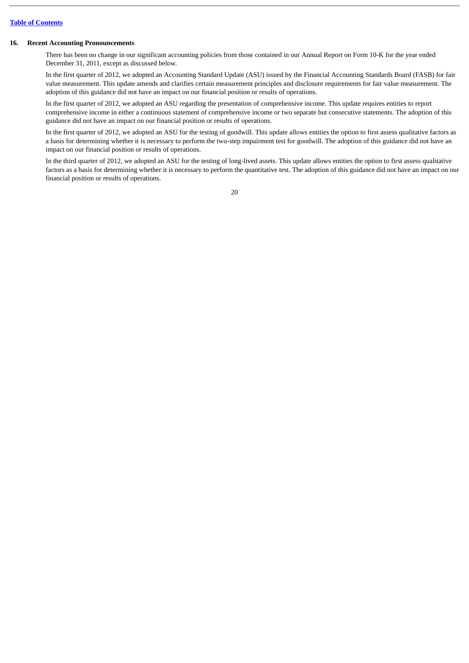#### **16. Recent Accounting Pronouncements**

There has been no change in our significant accounting policies from those contained in our Annual Report on Form 10-K for the year ended December 31, 2011, except as discussed below.

In the first quarter of 2012, we adopted an Accounting Standard Update (ASU) issued by the Financial Accounting Standards Board (FASB) for fair value measurement. This update amends and clarifies certain measurement principles and disclosure requirements for fair value measurement. The adoption of this guidance did not have an impact on our financial position or results of operations.

In the first quarter of 2012, we adopted an ASU regarding the presentation of comprehensive income. This update requires entities to report comprehensive income in either a continuous statement of comprehensive income or two separate but consecutive statements. The adoption of this guidance did not have an impact on our financial position or results of operations.

In the first quarter of 2012, we adopted an ASU for the testing of goodwill. This update allows entities the option to first assess qualitative factors as a basis for determining whether it is necessary to perform the two-step impairment test for goodwill. The adoption of this guidance did not have an impact on our financial position or results of operations.

In the third quarter of 2012, we adopted an ASU for the testing of long-lived assets. This update allows entities the option to first assess qualitative factors as a basis for determining whether it is necessary to perform the quantitative test. The adoption of this guidance did not have an impact on our financial position or results of operations.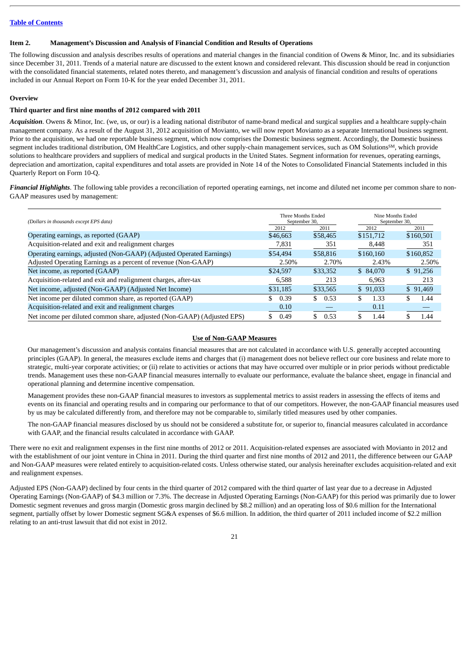#### <span id="page-20-0"></span>**Item 2. Management's Discussion and Analysis of Financial Condition and Results of Operations**

The following discussion and analysis describes results of operations and material changes in the financial condition of Owens & Minor, Inc. and its subsidiaries since December 31, 2011. Trends of a material nature are discussed to the extent known and considered relevant. This discussion should be read in conjunction with the consolidated financial statements, related notes thereto, and management's discussion and analysis of financial condition and results of operations included in our Annual Report on Form 10-K for the year ended December 31, 2011.

### **Overview**

### **Third quarter and first nine months of 2012 compared with 2011**

*Acquisition*. Owens & Minor, Inc. (we, us, or our) is a leading national distributor of name-brand medical and surgical supplies and a healthcare supply-chain management company. As a result of the August 31, 2012 acquisition of Movianto, we will now report Movianto as a separate International business segment. Prior to the acquisition, we had one reportable business segment, which now comprises the Domestic business segment. Accordingly, the Domestic business segment includes traditional distribution, OM HealthCare Logistics, and other supply-chain management services, such as OM Solutions<sup>SM</sup>, which provide solutions to healthcare providers and suppliers of medical and surgical products in the United States. Segment information for revenues, operating earnings, depreciation and amortization, capital expenditures and total assets are provided in Note 14 of the Notes to Consolidated Financial Statements included in this Quarterly Report on Form 10-Q.

*Financial Highlights*. The following table provides a reconciliation of reported operating earnings, net income and diluted net income per common share to non-GAAP measures used by management:

| (Dollars in thousands except EPS data)                                  | Three Months Ended<br>September 30, |            | Nine Months Ended<br>September 30, |            |  |
|-------------------------------------------------------------------------|-------------------------------------|------------|------------------------------------|------------|--|
|                                                                         | 2012                                | 2011       | 2012                               | 2011       |  |
| Operating earnings, as reported (GAAP)                                  | \$46,663                            | \$58,465   | \$151,712                          | \$160,501  |  |
| Acquisition-related and exit and realignment charges                    | 7,831                               | 351        | 8,448                              | 351        |  |
| Operating earnings, adjusted (Non-GAAP) (Adjusted Operated Earnings)    | \$54,494                            | \$58,816   | \$160,160                          | \$160,852  |  |
| Adjusted Operating Earnings as a percent of revenue (Non-GAAP)          | 2.50%                               | 2.70%      | 2.43%                              | 2.50%      |  |
| Net income, as reported (GAAP)                                          | \$24.597                            | \$33,352   | \$84,070                           | \$91.256   |  |
| Acquisition-related and exit and realignment charges, after-tax         | 6,588                               | 213        | 6,963                              | 213        |  |
| Net income, adjusted (Non-GAAP) (Adjusted Net Income)                   | \$31,185                            | \$33,565   | \$91.033                           | \$91,469   |  |
| Net income per diluted common share, as reported (GAAP)                 | 0.39                                | 0.53<br>S. | 1.33<br>\$                         | 1.44<br>ж, |  |
| Acquisition-related and exit and realignment charges                    | 0.10                                |            | 0.11                               |            |  |
| Net income per diluted common share, adjusted (Non-GAAP) (Adjusted EPS) | 0.49                                | 0.53       | 1.44                               | 1.44       |  |

### **Use of Non-GAAP Measures**

Our management's discussion and analysis contains financial measures that are not calculated in accordance with U.S. generally accepted accounting principles (GAAP). In general, the measures exclude items and charges that (i) management does not believe reflect our core business and relate more to strategic, multi-year corporate activities; or (ii) relate to activities or actions that may have occurred over multiple or in prior periods without predictable trends. Management uses these non-GAAP financial measures internally to evaluate our performance, evaluate the balance sheet, engage in financial and operational planning and determine incentive compensation.

Management provides these non-GAAP financial measures to investors as supplemental metrics to assist readers in assessing the effects of items and events on its financial and operating results and in comparing our performance to that of our competitors. However, the non-GAAP financial measures used by us may be calculated differently from, and therefore may not be comparable to, similarly titled measures used by other companies.

The non-GAAP financial measures disclosed by us should not be considered a substitute for, or superior to, financial measures calculated in accordance with GAAP, and the financial results calculated in accordance with GAAP.

There were no exit and realignment expenses in the first nine months of 2012 or 2011. Acquisition-related expenses are associated with Movianto in 2012 and with the establishment of our joint venture in China in 2011. During the third quarter and first nine months of 2012 and 2011, the difference between our GAAP and Non-GAAP measures were related entirely to acquisition-related costs. Unless otherwise stated, our analysis hereinafter excludes acquisition-related and exit and realignment expenses.

Adjusted EPS (Non-GAAP) declined by four cents in the third quarter of 2012 compared with the third quarter of last year due to a decrease in Adjusted Operating Earnings (Non-GAAP) of \$4.3 million or 7.3%. The decrease in Adjusted Operating Earnings (Non-GAAP) for this period was primarily due to lower Domestic segment revenues and gross margin (Domestic gross margin declined by \$8.2 million) and an operating loss of \$0.6 million for the International segment, partially offset by lower Domestic segment SG&A expenses of \$6.6 million. In addition, the third quarter of 2011 included income of \$2.2 million relating to an anti-trust lawsuit that did not exist in 2012.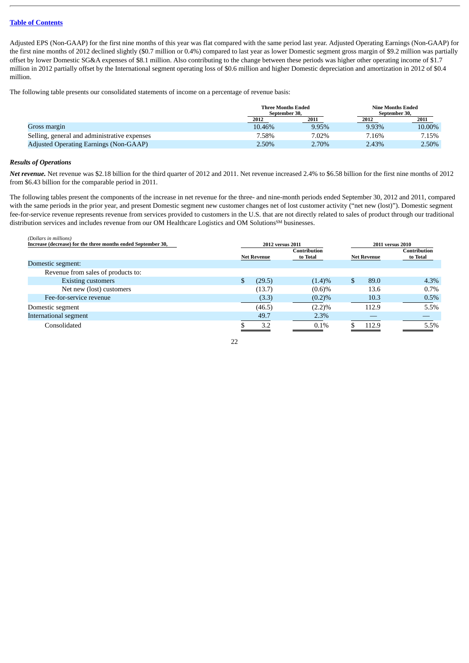Adjusted EPS (Non-GAAP) for the first nine months of this year was flat compared with the same period last year. Adjusted Operating Earnings (Non-GAAP) for the first nine months of 2012 declined slightly (\$0.7 million or 0.4%) compared to last year as lower Domestic segment gross margin of \$9.2 million was partially offset by lower Domestic SG&A expenses of \$8.1 million. Also contributing to the change between these periods was higher other operating income of \$1.7 million in 2012 partially offset by the International segment operating loss of \$0.6 million and higher Domestic depreciation and amortization in 2012 of \$0.4 million.

The following table presents our consolidated statements of income on a percentage of revenue basis:

|                                              |        | <b>Three Months Ended</b><br>September 30. |       | Nine Months Ended<br>September 30. |
|----------------------------------------------|--------|--------------------------------------------|-------|------------------------------------|
|                                              | 2012   | 2011                                       | 2012  | 2011                               |
| Gross margin                                 | 10.46% | 9.95%                                      | 9.93% | 10.00%                             |
| Selling, general and administrative expenses | 7.58%  | 7.02%                                      | 7.16% | 7.15%                              |
| Adjusted Operating Earnings (Non-GAAP)       | 2.50%  | 2.70%                                      | 2.43% | 2.50%                              |

#### *Results of Operations*

*Net revenue.* Net revenue was \$2.18 billion for the third quarter of 2012 and 2011. Net revenue increased 2.4% to \$6.58 billion for the first nine months of 2012 from \$6.43 billion for the comparable period in 2011.

The following tables present the components of the increase in net revenue for the three- and nine-month periods ended September 30, 2012 and 2011, compared with the same periods in the prior year, and present Domestic segment new customer changes net of lost customer activity ("net new (lost)"). Domestic segment fee-for-service revenue represents revenue from services provided to customers in the U.S. that are not directly related to sales of product through our traditional distribution services and includes revenue from our OM Healthcare Logistics and OM Solutions<sup>SM</sup> businesses.

| (Dollars in millions)                                        |                    |              |                    |              |  |
|--------------------------------------------------------------|--------------------|--------------|--------------------|--------------|--|
| Increase (decrease) for the three months ended September 30, | 2012 versus 2011   |              | 2011 versus 2010   |              |  |
|                                                              |                    | Contribution |                    | Contribution |  |
|                                                              | <b>Net Revenue</b> | to Total     | <b>Net Revenue</b> | to Total     |  |
| Domestic segment:                                            |                    |              |                    |              |  |
| Revenue from sales of products to:                           |                    |              |                    |              |  |
| <b>Existing customers</b>                                    | (29.5)             | $(1.4)\%$    | 89.0<br>S.         | 4.3%         |  |
| Net new (lost) customers                                     | (13.7)             | (0.6)%       | 13.6               | 0.7%         |  |
| Fee-for-service revenue                                      | (3.3)              | (0.2)%       | 10.3               | 0.5%         |  |
| Domestic segment                                             | (46.5)             | $(2.2)\%$    | 112.9              | 5.5%         |  |
| International segment                                        | 49.7               | 2.3%         |                    |              |  |
| Consolidated                                                 | 3.2                | 0.1%         | 112.9              | 5.5%         |  |
|                                                              |                    |              |                    |              |  |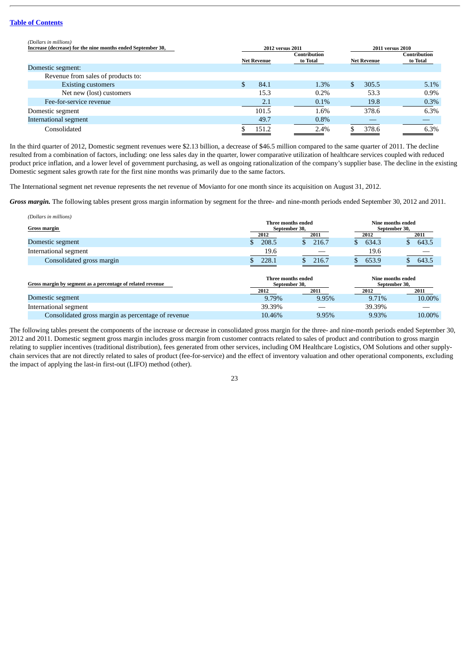*(Dollars in millions)*

| Increase (decrease) for the nine months ended September 30, |                    | 2012 versus 2011         |                    | 2011 versus 2010         |  |  |
|-------------------------------------------------------------|--------------------|--------------------------|--------------------|--------------------------|--|--|
|                                                             | <b>Net Revenue</b> | Contribution<br>to Total | <b>Net Revenue</b> | Contribution<br>to Total |  |  |
| Domestic segment:                                           |                    |                          |                    |                          |  |  |
| Revenue from sales of products to:                          |                    |                          |                    |                          |  |  |
| <b>Existing customers</b>                                   | 84.1               | 1.3%                     | 305.5<br>S.        | $5.1\%$                  |  |  |
| Net new (lost) customers                                    | 15.3               | 0.2%                     | 53.3               | 0.9%                     |  |  |
| Fee-for-service revenue                                     | 2.1                | $0.1\%$                  | 19.8               | 0.3%                     |  |  |
| Domestic segment                                            | 101.5              | 1.6%                     | 378.6              | 6.3%                     |  |  |
| International segment                                       | 49.7               | 0.8%                     |                    |                          |  |  |
| Consolidated                                                | 151.2              | 2.4%                     | 378.6              | 6.3%                     |  |  |
|                                                             |                    |                          |                    |                          |  |  |

In the third quarter of 2012, Domestic segment revenues were \$2.13 billion, a decrease of \$46.5 million compared to the same quarter of 2011. The decline resulted from a combination of factors, including: one less sales day in the quarter, lower comparative utilization of healthcare services coupled with reduced product price inflation, and a lower level of government purchasing, as well as ongoing rationalization of the company's supplier base. The decline in the existing Domestic segment sales growth rate for the first nine months was primarily due to the same factors.

The International segment net revenue represents the net revenue of Movianto for one month since its acquisition on August 31, 2012.

*Gross margin.* The following tables present gross margin information by segment for the three- and nine-month periods ended September 30, 2012 and 2011.

| (Dollars in millions)                                      |                                             |       |                                            |             |
|------------------------------------------------------------|---------------------------------------------|-------|--------------------------------------------|-------------|
| Gross margin                                               | Three months ended<br>September 30,<br>2012 | 2011  | Nine months ended<br>September 30.<br>2012 | 2011        |
| Domestic segment                                           | 208.5                                       | 216.7 | 634.3<br>S.                                | 643.5<br>S. |
| International segment                                      | 19.6                                        |       | 19.6                                       |             |
| Consolidated gross margin                                  | 228.1                                       | 216.7 | 653.9<br>\$.                               | 643.5       |
| Gross margin by segment as a percentage of related revenue | Three months ended<br>September 30,         |       | Nine months ended<br>September 30,         |             |
|                                                            | 2012                                        | 2011  | 2012                                       | 2011        |
| Domestic segment                                           | 9.79%                                       | 9.95% | 9.71%                                      | 10.00%      |
| International segment                                      | 39.39%                                      |       | 39.39%                                     |             |
|                                                            |                                             |       |                                            |             |

The following tables present the components of the increase or decrease in consolidated gross margin for the three- and nine-month periods ended September 30, 2012 and 2011. Domestic segment gross margin includes gross margin from customer contracts related to sales of product and contribution to gross margin relating to supplier incentives (traditional distribution), fees generated from other services, including OM Healthcare Logistics, OM Solutions and other supplychain services that are not directly related to sales of product (fee-for-service) and the effect of inventory valuation and other operational components, excluding the impact of applying the last-in first-out (LIFO) method (other).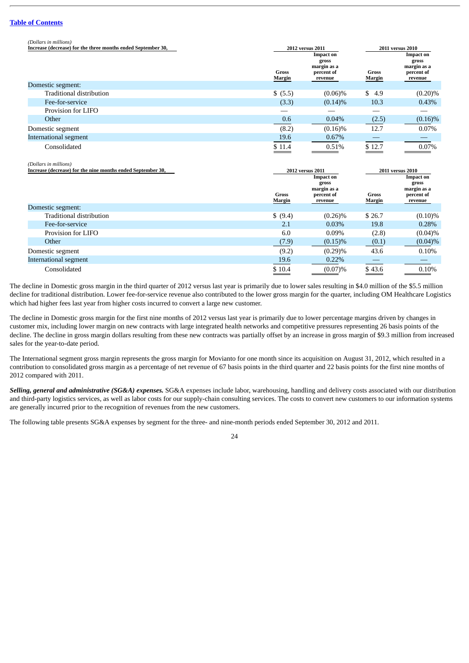*(Dollars in millions)* **Increase (decrease) for the three months ended September 30, 2012 versus 2011 2011 versus 2010 Gross Margin Impact on gross margin as a percent of revenue Gross Margin Impact on gross margin as a percent of revenue** Domestic segment: Traditional distribution \$ (5.5) (0.06)% \$ 4.9 (0.20)% Fee-for-service (3.3) (0.14)% 10.3 0.43% Provision for LIFO  $\qquad$   $\qquad$   $\qquad$   $\qquad$   $\qquad$   $\qquad$   $\qquad$   $\qquad$   $\qquad$   $\qquad$   $\qquad$   $\qquad$   $\qquad$   $\qquad$   $\qquad$   $\qquad$   $\qquad$   $\qquad$   $\qquad$   $\qquad$   $\qquad$   $\qquad$   $\qquad$   $\qquad$   $\qquad$   $\qquad$   $\qquad$   $\qquad$   $\qquad$   $\qquad$   $\qquad$   $\qquad$   $\qquad$   $\qquad$ Other  $0.6$  0.04% (2.5) (0.16)% (0.16)% Domestic segment (8.2) (0.16)% 12.7 0.07% International segment 19.6 0.67% — —  $\frac{\$ \ 11.4}_{\$ \ 12.7}_{\$ \ 12.7}_{\$ \ 12.7}_{\$ \ 0.07\%}$ 

| (Dollars in millions)<br>Increase (decrease) for the nine months ended September 30, |                        | 2012 versus 2011                                                  |                        | 2011 versus 2010                                           |
|--------------------------------------------------------------------------------------|------------------------|-------------------------------------------------------------------|------------------------|------------------------------------------------------------|
|                                                                                      | Gross<br><b>Margin</b> | <b>Impact on</b><br>gross<br>margin as a<br>percent of<br>revenue | Gross<br><b>Margin</b> | Impact on<br>gross<br>margin as a<br>percent of<br>revenue |
| Domestic segment:                                                                    |                        |                                                                   |                        |                                                            |
| Traditional distribution                                                             | \$ (9.4)               | $(0.26)\%$                                                        | \$26.7                 | $(0.10)\%$                                                 |
| Fee-for-service                                                                      | 2.1                    | 0.03%                                                             | 19.8                   | 0.28%                                                      |
| Provision for LIFO                                                                   | 6.0                    | 0.09%                                                             | (2.8)                  | $(0.04)\%$                                                 |
| Other                                                                                | (7.9)                  | $(0.15)\%$                                                        | (0.1)                  | $(0.04)\%$                                                 |
| Domestic segment                                                                     | (9.2)                  | $(0.29)\%$                                                        | 43.6                   | 0.10%                                                      |
| International segment                                                                | 19.6                   | $0.22\%$                                                          |                        |                                                            |
| Consolidated                                                                         | \$10.4                 | $(0.07)\%$                                                        | \$43.6                 | 0.10%                                                      |

The decline in Domestic gross margin in the third quarter of 2012 versus last year is primarily due to lower sales resulting in \$4.0 million of the \$5.5 million decline for traditional distribution. Lower fee-for-service revenue also contributed to the lower gross margin for the quarter, including OM Healthcare Logistics which had higher fees last year from higher costs incurred to convert a large new customer.

The decline in Domestic gross margin for the first nine months of 2012 versus last year is primarily due to lower percentage margins driven by changes in customer mix, including lower margin on new contracts with large integrated health networks and competitive pressures representing 26 basis points of the decline. The decline in gross margin dollars resulting from these new contracts was partially offset by an increase in gross margin of \$9.3 million from increased sales for the year-to-date period.

The International segment gross margin represents the gross margin for Movianto for one month since its acquisition on August 31, 2012, which resulted in a contribution to consolidated gross margin as a percentage of net revenue of 67 basis points in the third quarter and 22 basis points for the first nine months of 2012 compared with 2011.

*Selling, general and administrative (SG&A) expenses.* SG&A expenses include labor, warehousing, handling and delivery costs associated with our distribution and third-party logistics services, as well as labor costs for our supply-chain consulting services. The costs to convert new customers to our information systems are generally incurred prior to the recognition of revenues from the new customers.

The following table presents SG&A expenses by segment for the three- and nine-month periods ended September 30, 2012 and 2011.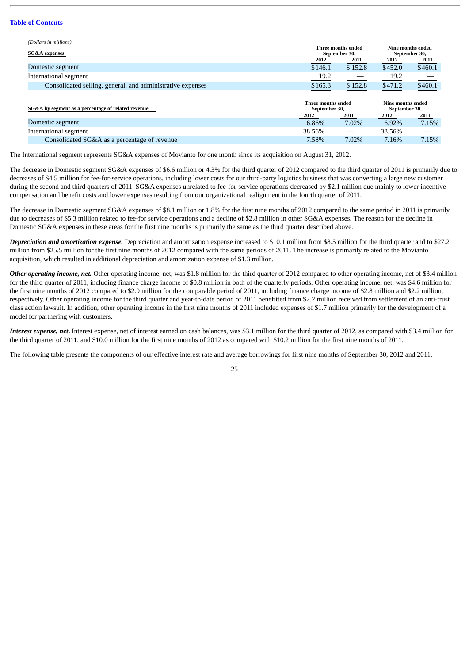| (Dollars in millions)<br><b>SG&amp;A</b> expenses          |         | Three months ended    |         | Nine months ended            |
|------------------------------------------------------------|---------|-----------------------|---------|------------------------------|
|                                                            | 2012    | September 30.<br>2011 | 2012    | September 30.<br><b>2011</b> |
| Domestic segment                                           | \$146.1 | \$152.8               | \$452.0 | \$460.1                      |
| International segment                                      | 19.2    |                       | 19.2    |                              |
| Consolidated selling, general, and administrative expenses | \$165.3 | \$152.8               | \$471.2 | \$460.1                      |

| SG&A by segment as a percentage of related revenue | Three months ended<br>September 30. |                                 | Nine months ended<br>September 30. |                 |
|----------------------------------------------------|-------------------------------------|---------------------------------|------------------------------------|-----------------|
|                                                    | 2012                                | 2011                            | 2012                               | <b>2011</b>     |
| Domestic segment                                   | 6.86%                               | 7.02%                           | 6.92%                              | 7.15%           |
| International segment                              | 38.56%                              | $\hspace{0.1mm}-\hspace{0.1mm}$ | 38.56%                             | $\qquad \qquad$ |
| Consolidated SG&A as a percentage of revenue       | 7.58%                               | 7.02%                           | 7.16%                              | 7.15%           |

The International segment represents SG&A expenses of Movianto for one month since its acquisition on August 31, 2012.

The decrease in Domestic segment SG&A expenses of \$6.6 million or 4.3% for the third quarter of 2012 compared to the third quarter of 2011 is primarily due to decreases of \$4.5 million for fee-for-service operations, including lower costs for our third-party logistics business that was converting a large new customer during the second and third quarters of 2011. SG&A expenses unrelated to fee-for-service operations decreased by \$2.1 million due mainly to lower incentive compensation and benefit costs and lower expenses resulting from our organizational realignment in the fourth quarter of 2011.

The decrease in Domestic segment SG&A expenses of \$8.1 million or 1.8% for the first nine months of 2012 compared to the same period in 2011 is primarily due to decreases of \$5.3 million related to fee-for service operations and a decline of \$2.8 million in other SG&A expenses. The reason for the decline in Domestic SG&A expenses in these areas for the first nine months is primarily the same as the third quarter described above.

*Depreciation and amortization expense.* Depreciation and amortization expense increased to \$10.1 million from \$8.5 million for the third quarter and to \$27.2 million from \$25.5 million for the first nine months of 2012 compared with the same periods of 2011. The increase is primarily related to the Movianto acquisition, which resulted in additional depreciation and amortization expense of \$1.3 million.

*Other operating income, net.* Other operating income, net, was \$1.8 million for the third quarter of 2012 compared to other operating income, net of \$3.4 million for the third quarter of 2011, including finance charge income of \$0.8 million in both of the quarterly periods. Other operating income, net, was \$4.6 million for the first nine months of 2012 compared to \$2.9 million for the comparable period of 2011, including finance charge income of \$2.8 million and \$2.2 million, respectively. Other operating income for the third quarter and year-to-date period of 2011 benefitted from \$2.2 million received from settlement of an anti-trust class action lawsuit. In addition, other operating income in the first nine months of 2011 included expenses of \$1.7 million primarily for the development of a model for partnering with customers.

*Interest expense, net***.** Interest expense, net of interest earned on cash balances, was \$3.1 million for the third quarter of 2012, as compared with \$3.4 million for the third quarter of 2011, and \$10.0 million for the first nine months of 2012 as compared with \$10.2 million for the first nine months of 2011.

The following table presents the components of our effective interest rate and average borrowings for first nine months of September 30, 2012 and 2011.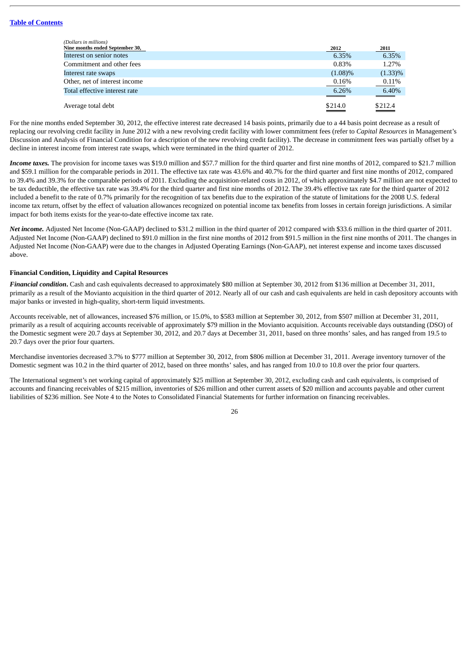| (Dollars in millions)           |            |            |
|---------------------------------|------------|------------|
| Nine months ended September 30, | 2012       | 2011       |
| Interest on senior notes        | 6.35%      | 6.35%      |
| Commitment and other fees       | 0.83%      | 1.27%      |
| Interest rate swaps             | $(1.08)\%$ | $(1.33)\%$ |
| Other, net of interest income   | 0.16%      | 0.11%      |
| Total effective interest rate   | 6.26%      | 6.40%      |
|                                 |            |            |
| Average total debt              | \$214.0    | \$212.4    |
|                                 |            |            |

For the nine months ended September 30, 2012, the effective interest rate decreased 14 basis points, primarily due to a 44 basis point decrease as a result of replacing our revolving credit facility in June 2012 with a new revolving credit facility with lower commitment fees (refer to *Capital Resources* in Management's Discussion and Analysis of Financial Condition for a description of the new revolving credit facility). The decrease in commitment fees was partially offset by a decline in interest income from interest rate swaps, which were terminated in the third quarter of 2012.

*Income taxes.* The provision for income taxes was \$19.0 million and \$57.7 million for the third quarter and first nine months of 2012, compared to \$21.7 million and \$59.1 million for the comparable periods in 2011. The effective tax rate was 43.6% and 40.7% for the third quarter and first nine months of 2012, compared to 39.4% and 39.3% for the comparable periods of 2011. Excluding the acquisition-related costs in 2012, of which approximately \$4.7 million are not expected to be tax deductible, the effective tax rate was 39.4% for the third quarter and first nine months of 2012. The 39.4% effective tax rate for the third quarter of 2012 included a benefit to the rate of 0.7% primarily for the recognition of tax benefits due to the expiration of the statute of limitations for the 2008 U.S. federal income tax return, offset by the effect of valuation allowances recognized on potential income tax benefits from losses in certain foreign jurisdictions. A similar impact for both items exists for the year-to-date effective income tax rate.

*Net income.* Adjusted Net Income (Non-GAAP) declined to \$31.2 million in the third quarter of 2012 compared with \$33.6 million in the third quarter of 2011. Adjusted Net Income (Non-GAAP) declined to \$91.0 million in the first nine months of 2012 from \$91.5 million in the first nine months of 2011. The changes in Adjusted Net Income (Non-GAAP) were due to the changes in Adjusted Operating Earnings (Non-GAAP), net interest expense and income taxes discussed above.

### **Financial Condition, Liquidity and Capital Resources**

*Financial condition***.** Cash and cash equivalents decreased to approximately \$80 million at September 30, 2012 from \$136 million at December 31, 2011, primarily as a result of the Movianto acquisition in the third quarter of 2012. Nearly all of our cash and cash equivalents are held in cash depository accounts with major banks or invested in high-quality, short-term liquid investments.

Accounts receivable, net of allowances, increased \$76 million, or 15.0%, to \$583 million at September 30, 2012, from \$507 million at December 31, 2011, primarily as a result of acquiring accounts receivable of approximately \$79 million in the Movianto acquisition. Accounts receivable days outstanding (DSO) of the Domestic segment were 20.7 days at September 30, 2012, and 20.7 days at December 31, 2011, based on three months' sales, and has ranged from 19.5 to 20.7 days over the prior four quarters.

Merchandise inventories decreased 3.7% to \$777 million at September 30, 2012, from \$806 million at December 31, 2011. Average inventory turnover of the Domestic segment was 10.2 in the third quarter of 2012, based on three months' sales, and has ranged from 10.0 to 10.8 over the prior four quarters.

The International segment's net working capital of approximately \$25 million at September 30, 2012, excluding cash and cash equivalents, is comprised of accounts and financing receivables of \$215 million, inventories of \$26 million and other current assets of \$20 million and accounts payable and other current liabilities of \$236 million. See Note 4 to the Notes to Consolidated Financial Statements for further information on financing receivables.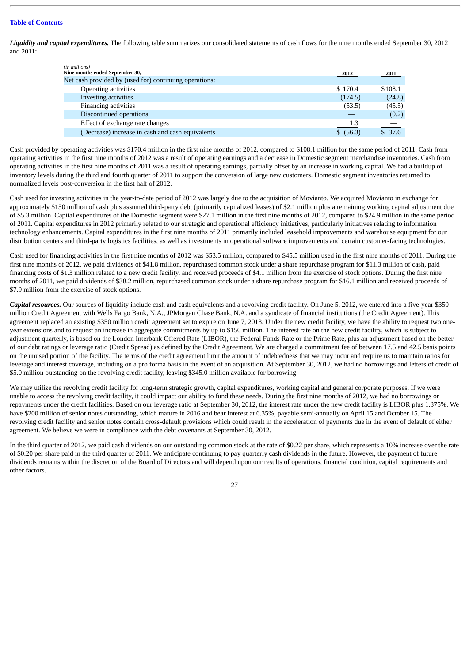*Liquidity and capital expenditures.* The following table summarizes our consolidated statements of cash flows for the nine months ended September 30, 2012 and 2011:

| (in millions)                                          |           |         |
|--------------------------------------------------------|-----------|---------|
| Nine months ended September 30,                        | 2012      | 2011    |
| Net cash provided by (used for) continuing operations: |           |         |
| <b>Operating activities</b>                            | \$170.4   | \$108.1 |
| Investing activities                                   | (174.5)   | (24.8)  |
| <b>Financing activities</b>                            | (53.5)    | (45.5)  |
| Discontinued operations                                |           | (0.2)   |
| Effect of exchange rate changes                        | 1.3       |         |
| (Decrease) increase in cash and cash equivalents       | \$ (56.3) | \$37.6  |
|                                                        |           |         |

Cash provided by operating activities was \$170.4 million in the first nine months of 2012, compared to \$108.1 million for the same period of 2011. Cash from operating activities in the first nine months of 2012 was a result of operating earnings and a decrease in Domestic segment merchandise inventories. Cash from operating activities in the first nine months of 2011 was a result of operating earnings, partially offset by an increase in working capital. We had a buildup of inventory levels during the third and fourth quarter of 2011 to support the conversion of large new customers. Domestic segment inventories returned to normalized levels post-conversion in the first half of 2012.

Cash used for investing activities in the year-to-date period of 2012 was largely due to the acquisition of Movianto. We acquired Movianto in exchange for approximately \$150 million of cash plus assumed third-party debt (primarily capitalized leases) of \$2.1 million plus a remaining working capital adjustment due of \$5.3 million. Capital expenditures of the Domestic segment were \$27.1 million in the first nine months of 2012, compared to \$24.9 million in the same period of 2011. Capital expenditures in 2012 primarily related to our strategic and operational efficiency initiatives, particularly initiatives relating to information technology enhancements. Capital expenditures in the first nine months of 2011 primarily included leasehold improvements and warehouse equipment for our distribution centers and third-party logistics facilities, as well as investments in operational software improvements and certain customer-facing technologies.

Cash used for financing activities in the first nine months of 2012 was \$53.5 million, compared to \$45.5 million used in the first nine months of 2011. During the first nine months of 2012, we paid dividends of \$41.8 million, repurchased common stock under a share repurchase program for \$11.3 million of cash, paid financing costs of \$1.3 million related to a new credit facility, and received proceeds of \$4.1 million from the exercise of stock options. During the first nine months of 2011, we paid dividends of \$38.2 million, repurchased common stock under a share repurchase program for \$16.1 million and received proceeds of \$7.9 million from the exercise of stock options.

*Capital resources.* Our sources of liquidity include cash and cash equivalents and a revolving credit facility. On June 5, 2012, we entered into a five-year \$350 million Credit Agreement with Wells Fargo Bank, N.A., JPMorgan Chase Bank, N.A. and a syndicate of financial institutions (the Credit Agreement). This agreement replaced an existing \$350 million credit agreement set to expire on June 7, 2013. Under the new credit facility, we have the ability to request two oneyear extensions and to request an increase in aggregate commitments by up to \$150 million. The interest rate on the new credit facility, which is subject to adjustment quarterly, is based on the London Interbank Offered Rate (LIBOR), the Federal Funds Rate or the Prime Rate, plus an adjustment based on the better of our debt ratings or leverage ratio (Credit Spread) as defined by the Credit Agreement. We are charged a commitment fee of between 17.5 and 42.5 basis points on the unused portion of the facility. The terms of the credit agreement limit the amount of indebtedness that we may incur and require us to maintain ratios for leverage and interest coverage, including on a pro forma basis in the event of an acquisition. At September 30, 2012, we had no borrowings and letters of credit of \$5.0 million outstanding on the revolving credit facility, leaving \$345.0 million available for borrowing.

We may utilize the revolving credit facility for long-term strategic growth, capital expenditures, working capital and general corporate purposes. If we were unable to access the revolving credit facility, it could impact our ability to fund these needs. During the first nine months of 2012, we had no borrowings or repayments under the credit facilities. Based on our leverage ratio at September 30, 2012, the interest rate under the new credit facility is LIBOR plus 1.375%. We have \$200 million of senior notes outstanding, which mature in 2016 and bear interest at 6.35%, payable semi-annually on April 15 and October 15. The revolving credit facility and senior notes contain cross-default provisions which could result in the acceleration of payments due in the event of default of either agreement. We believe we were in compliance with the debt covenants at September 30, 2012.

In the third quarter of 2012, we paid cash dividends on our outstanding common stock at the rate of \$0.22 per share, which represents a 10% increase over the rate of \$0.20 per share paid in the third quarter of 2011. We anticipate continuing to pay quarterly cash dividends in the future. However, the payment of future dividends remains within the discretion of the Board of Directors and will depend upon our results of operations, financial condition, capital requirements and other factors.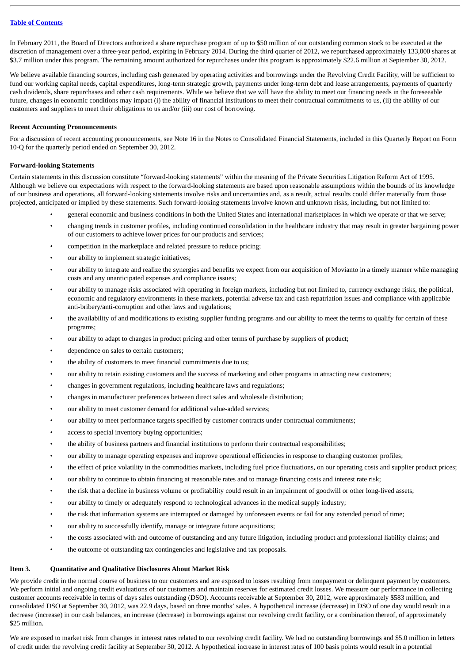In February 2011, the Board of Directors authorized a share repurchase program of up to \$50 million of our outstanding common stock to be executed at the discretion of management over a three-year period, expiring in February 2014. During the third quarter of 2012, we repurchased approximately 133,000 shares at \$3.7 million under this program. The remaining amount authorized for repurchases under this program is approximately \$22.6 million at September 30, 2012.

We believe available financing sources, including cash generated by operating activities and borrowings under the Revolving Credit Facility, will be sufficient to fund our working capital needs, capital expenditures, long-term strategic growth, payments under long-term debt and lease arrangements, payments of quarterly cash dividends, share repurchases and other cash requirements. While we believe that we will have the ability to meet our financing needs in the foreseeable future, changes in economic conditions may impact (i) the ability of financial institutions to meet their contractual commitments to us, (ii) the ability of our customers and suppliers to meet their obligations to us and/or (iii) our cost of borrowing.

#### **Recent Accounting Pronouncements**

For a discussion of recent accounting pronouncements, see Note 16 in the Notes to Consolidated Financial Statements, included in this Quarterly Report on Form 10-Q for the quarterly period ended on September 30, 2012.

#### **Forward-looking Statements**

Certain statements in this discussion constitute "forward-looking statements" within the meaning of the Private Securities Litigation Reform Act of 1995. Although we believe our expectations with respect to the forward-looking statements are based upon reasonable assumptions within the bounds of its knowledge of our business and operations, all forward-looking statements involve risks and uncertainties and, as a result, actual results could differ materially from those projected, anticipated or implied by these statements. Such forward-looking statements involve known and unknown risks, including, but not limited to:

- general economic and business conditions in both the United States and international marketplaces in which we operate or that we serve;
- changing trends in customer profiles, including continued consolidation in the healthcare industry that may result in greater bargaining power of our customers to achieve lower prices for our products and services;
- competition in the marketplace and related pressure to reduce pricing;
- our ability to implement strategic initiatives;
- our ability to integrate and realize the synergies and benefits we expect from our acquisition of Movianto in a timely manner while managing costs and any unanticipated expenses and compliance issues;
- our ability to manage risks associated with operating in foreign markets, including but not limited to, currency exchange risks, the political, economic and regulatory environments in these markets, potential adverse tax and cash repatriation issues and compliance with applicable anti-bribery/anti-corruption and other laws and regulations;
- the availability of and modifications to existing supplier funding programs and our ability to meet the terms to qualify for certain of these programs;
- our ability to adapt to changes in product pricing and other terms of purchase by suppliers of product;
- dependence on sales to certain customers;
- the ability of customers to meet financial commitments due to us;
- our ability to retain existing customers and the success of marketing and other programs in attracting new customers;
- changes in government regulations, including healthcare laws and regulations;
- changes in manufacturer preferences between direct sales and wholesale distribution;
- our ability to meet customer demand for additional value-added services;
- our ability to meet performance targets specified by customer contracts under contractual commitments;
- access to special inventory buying opportunities;
- the ability of business partners and financial institutions to perform their contractual responsibilities;
- our ability to manage operating expenses and improve operational efficiencies in response to changing customer profiles;
- the effect of price volatility in the commodities markets, including fuel price fluctuations, on our operating costs and supplier product prices;
- our ability to continue to obtain financing at reasonable rates and to manage financing costs and interest rate risk;
- the risk that a decline in business volume or profitability could result in an impairment of goodwill or other long-lived assets;
- our ability to timely or adequately respond to technological advances in the medical supply industry;
- the risk that information systems are interrupted or damaged by unforeseen events or fail for any extended period of time;
- our ability to successfully identify, manage or integrate future acquisitions;
- the costs associated with and outcome of outstanding and any future litigation, including product and professional liability claims; and
- the outcome of outstanding tax contingencies and legislative and tax proposals.

#### <span id="page-27-0"></span>**Item 3. Quantitative and Qualitative Disclosures About Market Risk**

We provide credit in the normal course of business to our customers and are exposed to losses resulting from nonpayment or delinquent payment by customers. We perform initial and ongoing credit evaluations of our customers and maintain reserves for estimated credit losses. We measure our performance in collecting customer accounts receivable in terms of days sales outstanding (DSO). Accounts receivable at September 30, 2012, were approximately \$583 million, and consolidated DSO at September 30, 2012, was 22.9 days, based on three months' sales. A hypothetical increase (decrease) in DSO of one day would result in a decrease (increase) in our cash balances, an increase (decrease) in borrowings against our revolving credit facility, or a combination thereof, of approximately \$25 million.

We are exposed to market risk from changes in interest rates related to our revolving credit facility. We had no outstanding borrowings and \$5.0 million in letters of credit under the revolving credit facility at September 30, 2012. A hypothetical increase in interest rates of 100 basis points would result in a potential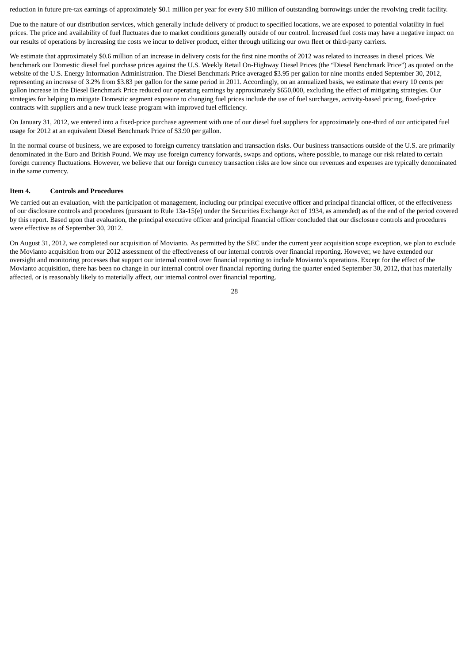reduction in future pre-tax earnings of approximately \$0.1 million per year for every \$10 million of outstanding borrowings under the revolving credit facility.

Due to the nature of our distribution services, which generally include delivery of product to specified locations, we are exposed to potential volatility in fuel prices. The price and availability of fuel fluctuates due to market conditions generally outside of our control. Increased fuel costs may have a negative impact on our results of operations by increasing the costs we incur to deliver product, either through utilizing our own fleet or third-party carriers.

We estimate that approximately \$0.6 million of an increase in delivery costs for the first nine months of 2012 was related to increases in diesel prices. We benchmark our Domestic diesel fuel purchase prices against the U.S. Weekly Retail On-Highway Diesel Prices (the "Diesel Benchmark Price") as quoted on the website of the U.S. Energy Information Administration. The Diesel Benchmark Price averaged \$3.95 per gallon for nine months ended September 30, 2012, representing an increase of 3.2% from \$3.83 per gallon for the same period in 2011. Accordingly, on an annualized basis, we estimate that every 10 cents per gallon increase in the Diesel Benchmark Price reduced our operating earnings by approximately \$650,000, excluding the effect of mitigating strategies. Our strategies for helping to mitigate Domestic segment exposure to changing fuel prices include the use of fuel surcharges, activity-based pricing, fixed-price contracts with suppliers and a new truck lease program with improved fuel efficiency.

On January 31, 2012, we entered into a fixed-price purchase agreement with one of our diesel fuel suppliers for approximately one-third of our anticipated fuel usage for 2012 at an equivalent Diesel Benchmark Price of \$3.90 per gallon.

In the normal course of business, we are exposed to foreign currency translation and transaction risks. Our business transactions outside of the U.S. are primarily denominated in the Euro and British Pound. We may use foreign currency forwards, swaps and options, where possible, to manage our risk related to certain foreign currency fluctuations. However, we believe that our foreign currency transaction risks are low since our revenues and expenses are typically denominated in the same currency.

### <span id="page-28-0"></span>**Item 4. Controls and Procedures**

We carried out an evaluation, with the participation of management, including our principal executive officer and principal financial officer, of the effectiveness of our disclosure controls and procedures (pursuant to Rule 13a-15(e) under the Securities Exchange Act of 1934, as amended) as of the end of the period covered by this report. Based upon that evaluation, the principal executive officer and principal financial officer concluded that our disclosure controls and procedures were effective as of September 30, 2012.

On August 31, 2012, we completed our acquisition of Movianto. As permitted by the SEC under the current year acquisition scope exception, we plan to exclude the Movianto acquisition from our 2012 assessment of the effectiveness of our internal controls over financial reporting. However, we have extended our oversight and monitoring processes that support our internal control over financial reporting to include Movianto's operations. Except for the effect of the Movianto acquisition, there has been no change in our internal control over financial reporting during the quarter ended September 30, 2012, that has materially affected, or is reasonably likely to materially affect, our internal control over financial reporting.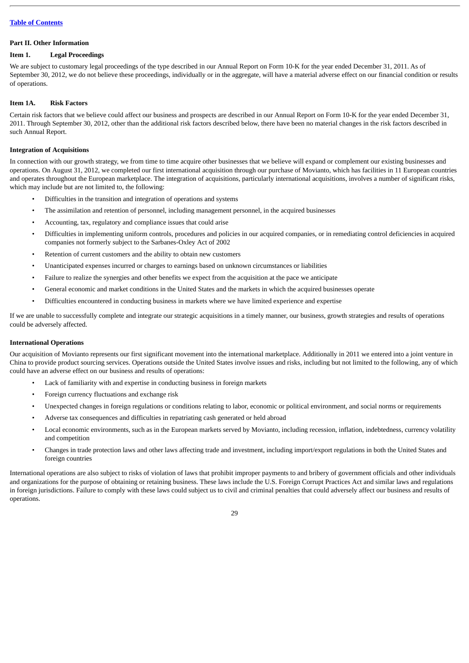#### <span id="page-29-0"></span>**Part II. Other Information**

### <span id="page-29-1"></span>**Item 1. Legal Proceedings**

We are subject to customary legal proceedings of the type described in our Annual Report on Form 10-K for the year ended December 31, 2011. As of September 30, 2012, we do not believe these proceedings, individually or in the aggregate, will have a material adverse effect on our financial condition or results of operations.

### <span id="page-29-2"></span>**Item 1A. Risk Factors**

Certain risk factors that we believe could affect our business and prospects are described in our Annual Report on Form 10-K for the year ended December 31, 2011. Through September 30, 2012, other than the additional risk factors described below, there have been no material changes in the risk factors described in such Annual Report.

### **Integration of Acquisitions**

In connection with our growth strategy, we from time to time acquire other businesses that we believe will expand or complement our existing businesses and operations. On August 31, 2012, we completed our first international acquisition through our purchase of Movianto, which has facilities in 11 European countries and operates throughout the European marketplace. The integration of acquisitions, particularly international acquisitions, involves a number of significant risks, which may include but are not limited to, the following:

- Difficulties in the transition and integration of operations and systems
- The assimilation and retention of personnel, including management personnel, in the acquired businesses
- Accounting, tax, regulatory and compliance issues that could arise
- Difficulties in implementing uniform controls, procedures and policies in our acquired companies, or in remediating control deficiencies in acquired companies not formerly subject to the Sarbanes-Oxley Act of 2002
- Retention of current customers and the ability to obtain new customers
- Unanticipated expenses incurred or charges to earnings based on unknown circumstances or liabilities
- Failure to realize the synergies and other benefits we expect from the acquisition at the pace we anticipate
- General economic and market conditions in the United States and the markets in which the acquired businesses operate
- Difficulties encountered in conducting business in markets where we have limited experience and expertise

If we are unable to successfully complete and integrate our strategic acquisitions in a timely manner, our business, growth strategies and results of operations could be adversely affected.

#### **International Operations**

Our acquisition of Movianto represents our first significant movement into the international marketplace. Additionally in 2011 we entered into a joint venture in China to provide product sourcing services. Operations outside the United States involve issues and risks, including but not limited to the following, any of which could have an adverse effect on our business and results of operations:

- Lack of familiarity with and expertise in conducting business in foreign markets
- Foreign currency fluctuations and exchange risk
- Unexpected changes in foreign regulations or conditions relating to labor, economic or political environment, and social norms or requirements
- Adverse tax consequences and difficulties in repatriating cash generated or held abroad
- Local economic environments, such as in the European markets served by Movianto, including recession, inflation, indebtedness, currency volatility and competition
- Changes in trade protection laws and other laws affecting trade and investment, including import/export regulations in both the United States and foreign countries

International operations are also subject to risks of violation of laws that prohibit improper payments to and bribery of government officials and other individuals and organizations for the purpose of obtaining or retaining business. These laws include the U.S. Foreign Corrupt Practices Act and similar laws and regulations in foreign jurisdictions. Failure to comply with these laws could subject us to civil and criminal penalties that could adversely affect our business and results of operations.

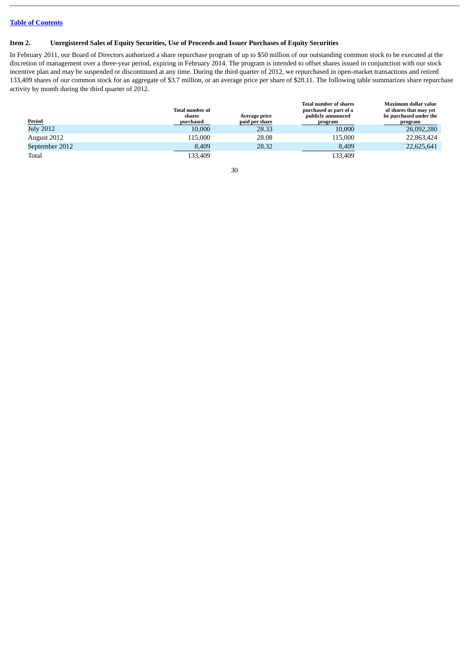### <span id="page-30-0"></span>**Item 2. Unregistered Sales of Equity Securities, Use of Proceeds and Issuer Purchases of Equity Securities**

In February 2011, our Board of Directors authorized a share repurchase program of up to \$50 million of our outstanding common stock to be executed at the discretion of management over a three-year period, expiring in February 2014. The program is intended to offset shares issued in conjunction with our stock incentive plan and may be suspended or discontinued at any time. During the third quarter of 2012, we repurchased in open-market transactions and retired 133,409 shares of our common stock for an aggregate of \$3.7 million, or an average price per share of \$28.11. The following table summarizes share repurchase activity by month during the third quarter of 2012.

| <b>Period</b>    | <b>Total number of</b><br>shares<br>purchased | Average price<br>paid per share | <b>Total number of shares</b><br>purchased as part of a<br>publicly announced<br>program | <b>Maximum dollar value</b><br>of shares that may yet<br>be purchased under the<br>program |
|------------------|-----------------------------------------------|---------------------------------|------------------------------------------------------------------------------------------|--------------------------------------------------------------------------------------------|
| <b>July 2012</b> | 10,000                                        | 28.33                           | 10,000                                                                                   | 26,092,280                                                                                 |
| August 2012      | 115,000                                       | 28.08                           | 115,000                                                                                  | 22,863,424                                                                                 |
| September 2012   | 8,409                                         | 28.32                           | 8,409                                                                                    | 22,625,641                                                                                 |
| Total            | 133.409                                       |                                 | 133,409                                                                                  |                                                                                            |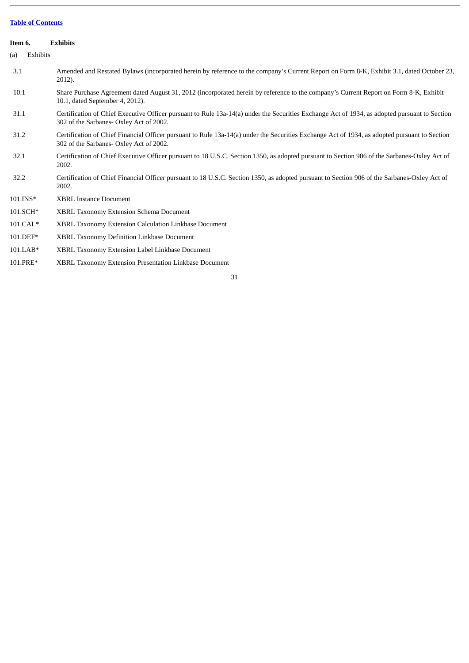Ē.

<span id="page-31-0"></span>

| Item 6.<br>Exhibits<br>(a) | <b>Exhibits</b>                                                                                                                                                                          |
|----------------------------|------------------------------------------------------------------------------------------------------------------------------------------------------------------------------------------|
| 3.1                        | Amended and Restated Bylaws (incorporated herein by reference to the company's Current Report on Form 8-K, Exhibit 3.1, dated October 23,<br>2012).                                      |
| 10.1                       | Share Purchase Agreement dated August 31, 2012 (incorporated herein by reference to the company's Current Report on Form 8-K, Exhibit<br>10.1, dated September 4, 2012).                 |
| 31.1                       | Certification of Chief Executive Officer pursuant to Rule 13a-14(a) under the Securities Exchange Act of 1934, as adopted pursuant to Section<br>302 of the Sarbanes- Oxley Act of 2002. |
| 31.2                       | Certification of Chief Financial Officer pursuant to Rule 13a-14(a) under the Securities Exchange Act of 1934, as adopted pursuant to Section<br>302 of the Sarbanes- Oxley Act of 2002. |
| 32.1                       | Certification of Chief Executive Officer pursuant to 18 U.S.C. Section 1350, as adopted pursuant to Section 906 of the Sarbanes-Oxley Act of<br>2002.                                    |
| 32.2                       | Certification of Chief Financial Officer pursuant to 18 U.S.C. Section 1350, as adopted pursuant to Section 906 of the Sarbanes-Oxley Act of<br>2002.                                    |
| $101.INS*$                 | <b>XBRL Instance Document</b>                                                                                                                                                            |
| 101.SCH*                   | XBRL Taxonomy Extension Schema Document                                                                                                                                                  |
| $101.CAL*$                 | XBRL Taxonomy Extension Calculation Linkbase Document                                                                                                                                    |
| 101.DEF*                   | <b>XBRL Taxonomy Definition Linkbase Document</b>                                                                                                                                        |
| $101.LAB*$                 | XBRL Taxonomy Extension Label Linkbase Document                                                                                                                                          |
| 101.PRE*                   | XBRL Taxonomy Extension Presentation Linkbase Document                                                                                                                                   |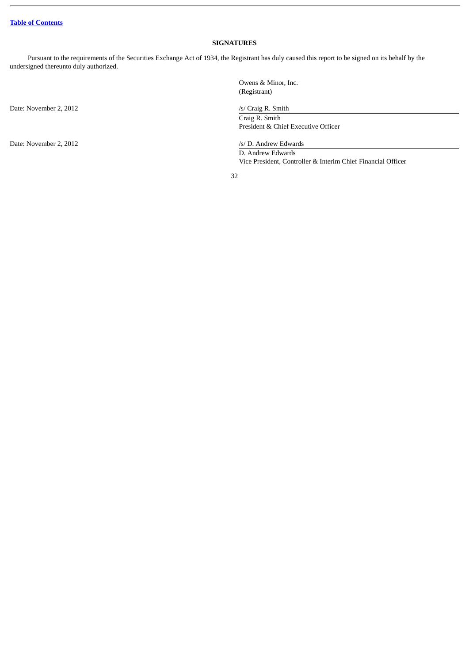### **SIGNATURES**

Pursuant to the requirements of the Securities Exchange Act of 1934, the Registrant has duly caused this report to be signed on its behalf by the undersigned thereunto duly authorized.

Date: November 2, 2012 /s/ Craig R. Smith

Date: November 2, 2012 /s/ D. Andrew Edwards

Owens & Minor, Inc. (Registrant)

Craig R. Smith President & Chief Executive Officer

D. Andrew Edwards Vice President, Controller & Interim Chief Financial Officer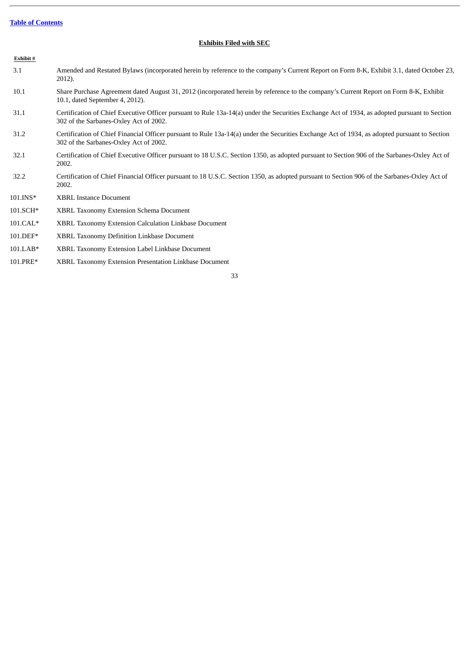Ē.

### **Exhibits Filed with SEC**

| Exhibit #  |                                                                                                                                                                                         |
|------------|-----------------------------------------------------------------------------------------------------------------------------------------------------------------------------------------|
| 3.1        | Amended and Restated Bylaws (incorporated herein by reference to the company's Current Report on Form 8-K, Exhibit 3.1, dated October 23,<br>2012).                                     |
| 10.1       | Share Purchase Agreement dated August 31, 2012 (incorporated herein by reference to the company's Current Report on Form 8-K, Exhibit<br>10.1, dated September 4, 2012).                |
| 31.1       | Certification of Chief Executive Officer pursuant to Rule 13a-14(a) under the Securities Exchange Act of 1934, as adopted pursuant to Section<br>302 of the Sarbanes-Oxley Act of 2002. |
| 31.2       | Certification of Chief Financial Officer pursuant to Rule 13a-14(a) under the Securities Exchange Act of 1934, as adopted pursuant to Section<br>302 of the Sarbanes-Oxley Act of 2002. |
| 32.1       | Certification of Chief Executive Officer pursuant to 18 U.S.C. Section 1350, as adopted pursuant to Section 906 of the Sarbanes-Oxley Act of<br>2002.                                   |
| 32.2       | Certification of Chief Financial Officer pursuant to 18 U.S.C. Section 1350, as adopted pursuant to Section 906 of the Sarbanes-Oxley Act of<br>2002.                                   |
| 101.INS*   | <b>XBRL Instance Document</b>                                                                                                                                                           |
| 101.SCH*   | XBRL Taxonomy Extension Schema Document                                                                                                                                                 |
| $101.CAL*$ | XBRL Taxonomy Extension Calculation Linkbase Document                                                                                                                                   |
| 101.DEF*   | XBRL Taxonomy Definition Linkbase Document                                                                                                                                              |
| $101.LAB*$ | XBRL Taxonomy Extension Label Linkbase Document                                                                                                                                         |
| 101.PRE*   | XBRL Taxonomy Extension Presentation Linkbase Document                                                                                                                                  |
|            | $\sim$                                                                                                                                                                                  |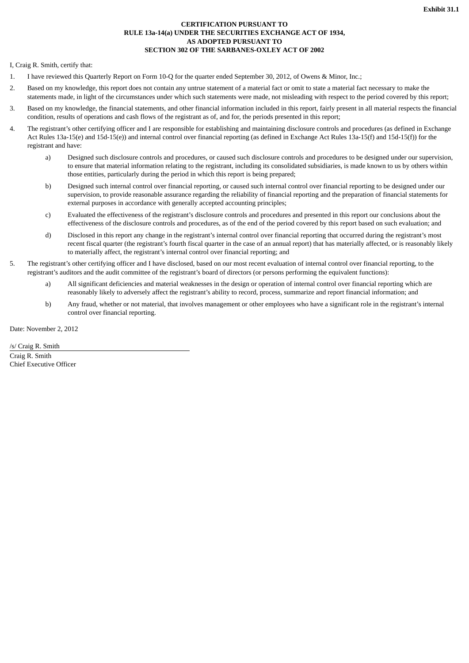### **CERTIFICATION PURSUANT TO RULE 13a-14(a) UNDER THE SECURITIES EXCHANGE ACT OF 1934, AS ADOPTED PURSUANT TO SECTION 302 OF THE SARBANES-OXLEY ACT OF 2002**

I, Craig R. Smith, certify that:

- 1. I have reviewed this Quarterly Report on Form 10-Q for the quarter ended September 30, 2012, of Owens & Minor, Inc.;
- 2. Based on my knowledge, this report does not contain any untrue statement of a material fact or omit to state a material fact necessary to make the statements made, in light of the circumstances under which such statements were made, not misleading with respect to the period covered by this report;
- 3. Based on my knowledge, the financial statements, and other financial information included in this report, fairly present in all material respects the financial condition, results of operations and cash flows of the registrant as of, and for, the periods presented in this report;
- 4. The registrant's other certifying officer and I are responsible for establishing and maintaining disclosure controls and procedures (as defined in Exchange Act Rules 13a-15(e) and 15d-15(e)) and internal control over financial reporting (as defined in Exchange Act Rules 13a-15(f) and 15d-15(f)) for the registrant and have:
	- a) Designed such disclosure controls and procedures, or caused such disclosure controls and procedures to be designed under our supervision, to ensure that material information relating to the registrant, including its consolidated subsidiaries, is made known to us by others within those entities, particularly during the period in which this report is being prepared;
	- b) Designed such internal control over financial reporting, or caused such internal control over financial reporting to be designed under our supervision, to provide reasonable assurance regarding the reliability of financial reporting and the preparation of financial statements for external purposes in accordance with generally accepted accounting principles;
	- c) Evaluated the effectiveness of the registrant's disclosure controls and procedures and presented in this report our conclusions about the effectiveness of the disclosure controls and procedures, as of the end of the period covered by this report based on such evaluation; and
	- d) Disclosed in this report any change in the registrant's internal control over financial reporting that occurred during the registrant's most recent fiscal quarter (the registrant's fourth fiscal quarter in the case of an annual report) that has materially affected, or is reasonably likely to materially affect, the registrant's internal control over financial reporting; and
- 5. The registrant's other certifying officer and I have disclosed, based on our most recent evaluation of internal control over financial reporting, to the registrant's auditors and the audit committee of the registrant's board of directors (or persons performing the equivalent functions):
	- a) All significant deficiencies and material weaknesses in the design or operation of internal control over financial reporting which are reasonably likely to adversely affect the registrant's ability to record, process, summarize and report financial information; and
	- b) Any fraud, whether or not material, that involves management or other employees who have a significant role in the registrant's internal control over financial reporting.

Date: November 2, 2012

/s/ Craig R. Smith

Craig R. Smith Chief Executive Officer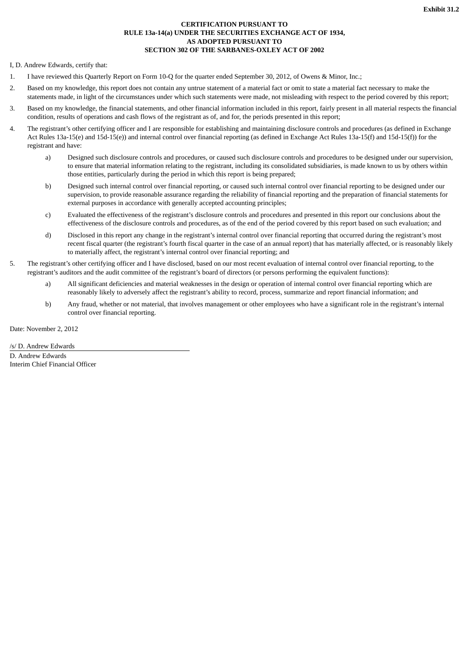### **CERTIFICATION PURSUANT TO RULE 13a-14(a) UNDER THE SECURITIES EXCHANGE ACT OF 1934, AS ADOPTED PURSUANT TO SECTION 302 OF THE SARBANES-OXLEY ACT OF 2002**

I, D. Andrew Edwards, certify that:

- 1. I have reviewed this Quarterly Report on Form 10-Q for the quarter ended September 30, 2012, of Owens & Minor, Inc.;
- 2. Based on my knowledge, this report does not contain any untrue statement of a material fact or omit to state a material fact necessary to make the statements made, in light of the circumstances under which such statements were made, not misleading with respect to the period covered by this report;
- 3. Based on my knowledge, the financial statements, and other financial information included in this report, fairly present in all material respects the financial condition, results of operations and cash flows of the registrant as of, and for, the periods presented in this report;
- 4. The registrant's other certifying officer and I are responsible for establishing and maintaining disclosure controls and procedures (as defined in Exchange Act Rules 13a-15(e) and 15d-15(e)) and internal control over financial reporting (as defined in Exchange Act Rules 13a-15(f) and 15d-15(f)) for the registrant and have:
	- a) Designed such disclosure controls and procedures, or caused such disclosure controls and procedures to be designed under our supervision, to ensure that material information relating to the registrant, including its consolidated subsidiaries, is made known to us by others within those entities, particularly during the period in which this report is being prepared;
	- b) Designed such internal control over financial reporting, or caused such internal control over financial reporting to be designed under our supervision, to provide reasonable assurance regarding the reliability of financial reporting and the preparation of financial statements for external purposes in accordance with generally accepted accounting principles;
	- c) Evaluated the effectiveness of the registrant's disclosure controls and procedures and presented in this report our conclusions about the effectiveness of the disclosure controls and procedures, as of the end of the period covered by this report based on such evaluation; and
	- d) Disclosed in this report any change in the registrant's internal control over financial reporting that occurred during the registrant's most recent fiscal quarter (the registrant's fourth fiscal quarter in the case of an annual report) that has materially affected, or is reasonably likely to materially affect, the registrant's internal control over financial reporting; and
- 5. The registrant's other certifying officer and I have disclosed, based on our most recent evaluation of internal control over financial reporting, to the registrant's auditors and the audit committee of the registrant's board of directors (or persons performing the equivalent functions):
	- a) All significant deficiencies and material weaknesses in the design or operation of internal control over financial reporting which are reasonably likely to adversely affect the registrant's ability to record, process, summarize and report financial information; and
	- b) Any fraud, whether or not material, that involves management or other employees who have a significant role in the registrant's internal control over financial reporting.

Date: November 2, 2012

/s/ D. Andrew Edwards

D. Andrew Edwards Interim Chief Financial Officer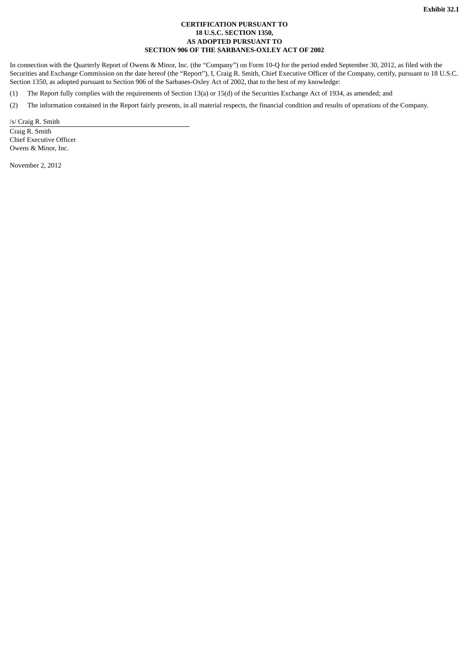### **CERTIFICATION PURSUANT TO 18 U.S.C. SECTION 1350, AS ADOPTED PURSUANT TO SECTION 906 OF THE SARBANES-OXLEY ACT OF 2002**

In connection with the Quarterly Report of Owens & Minor, Inc. (the "Company") on Form 10-Q for the period ended September 30, 2012, as filed with the Securities and Exchange Commission on the date hereof (the "Report"), I, Craig R. Smith, Chief Executive Officer of the Company, certify, pursuant to 18 U.S.C. Section 1350, as adopted pursuant to Section 906 of the Sarbanes-Oxley Act of 2002, that to the best of my knowledge:

(1) The Report fully complies with the requirements of Section 13(a) or 15(d) of the Securities Exchange Act of 1934, as amended; and

(2) The information contained in the Report fairly presents, in all material respects, the financial condition and results of operations of the Company.

/s/ Craig R. Smith

Craig R. Smith Chief Executive Officer Owens & Minor, Inc.

November 2, 2012